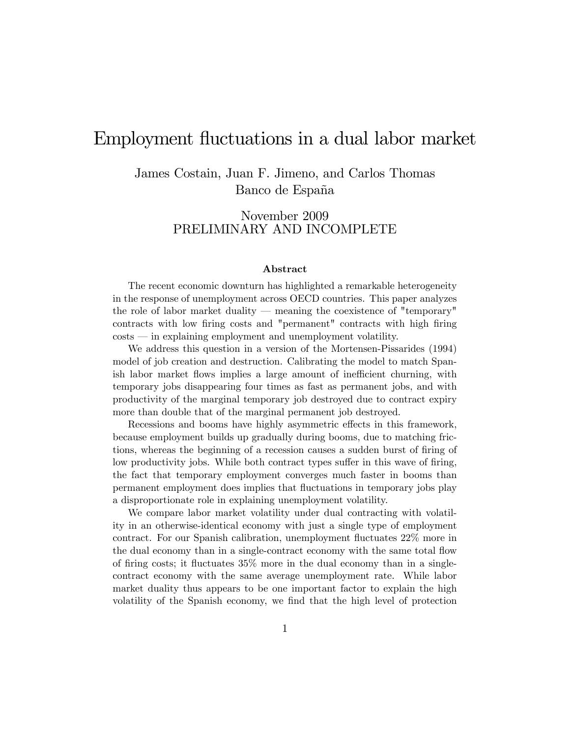# Employment fluctuations in a dual labor market

James Costain, Juan F. Jimeno, and Carlos Thomas Banco de España

# November 2009 PRELIMINARY AND INCOMPLETE

#### Abstract

The recent economic downturn has highlighted a remarkable heterogeneity in the response of unemployment across OECD countries. This paper analyzes the role of labor market duality  $-$  meaning the coexistence of "temporary" contracts with low firing costs and "permanent" contracts with high firing  $costs$  – in explaining employment and unemployment volatility.

We address this question in a version of the Mortensen-Pissarides (1994) model of job creation and destruction. Calibrating the model to match Spanish labor market flows implies a large amount of inefficient churning, with temporary jobs disappearing four times as fast as permanent jobs, and with productivity of the marginal temporary job destroyed due to contract expiry more than double that of the marginal permanent job destroyed.

Recessions and booms have highly asymmetric effects in this framework, because employment builds up gradually during booms, due to matching frictions, whereas the beginning of a recession causes a sudden burst of firing of low productivity jobs. While both contract types suffer in this wave of firing, the fact that temporary employment converges much faster in booms than permanent employment does implies that áuctuations in temporary jobs play a disproportionate role in explaining unemployment volatility.

We compare labor market volatility under dual contracting with volatility in an otherwise-identical economy with just a single type of employment contract. For our Spanish calibration, unemployment áuctuates 22% more in the dual economy than in a single-contract economy with the same total flow of firing costs; it fluctuates  $35\%$  more in the dual economy than in a singlecontract economy with the same average unemployment rate. While labor market duality thus appears to be one important factor to explain the high volatility of the Spanish economy, we find that the high level of protection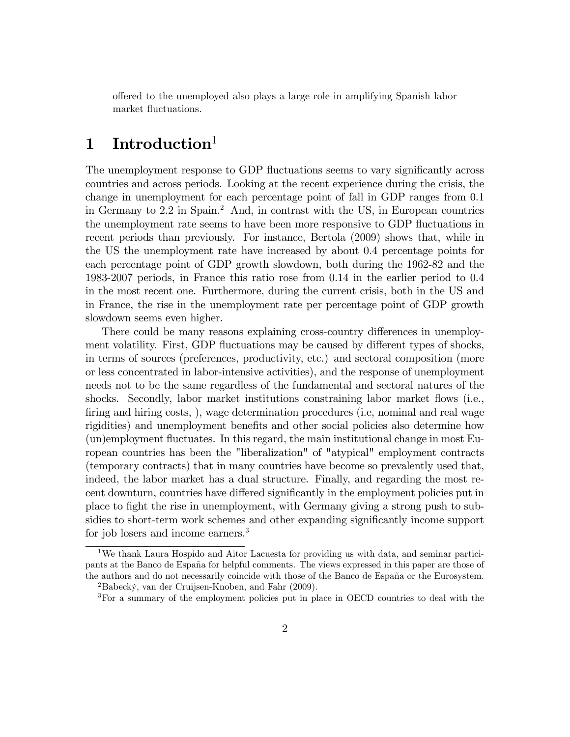offered to the unemployed also plays a large role in amplifying Spanish labor market fluctuations.

# 1 Introduction

The unemployment response to GDP fluctuations seems to vary significantly across countries and across periods. Looking at the recent experience during the crisis, the change in unemployment for each percentage point of fall in GDP ranges from 0.1 in Germany to 2.2 in Spain.<sup>2</sup> And, in contrast with the US, in European countries the unemployment rate seems to have been more responsive to GDP fluctuations in recent periods than previously. For instance, Bertola (2009) shows that, while in the US the unemployment rate have increased by about 0.4 percentage points for each percentage point of GDP growth slowdown, both during the 1962-82 and the 1983-2007 periods, in France this ratio rose from 0.14 in the earlier period to 0.4 in the most recent one. Furthermore, during the current crisis, both in the US and in France, the rise in the unemployment rate per percentage point of GDP growth slowdown seems even higher.

There could be many reasons explaining cross-country differences in unemployment volatility. First, GDP fluctuations may be caused by different types of shocks, in terms of sources (preferences, productivity, etc.) and sectoral composition (more or less concentrated in labor-intensive activities), and the response of unemployment needs not to be the same regardless of the fundamental and sectoral natures of the shocks. Secondly, labor market institutions constraining labor market flows (i.e., firing and hiring costs, ), wage determination procedures (i.e, nominal and real wage rigidities) and unemployment benefits and other social policies also determine how (un)employment áuctuates. In this regard, the main institutional change in most European countries has been the "liberalization" of "atypical" employment contracts (temporary contracts) that in many countries have become so prevalently used that, indeed, the labor market has a dual structure. Finally, and regarding the most recent downturn, countries have differed significantly in the employment policies put in place to fight the rise in unemployment, with Germany giving a strong push to subsidies to short-term work schemes and other expanding significantly income support for job losers and income earners.<sup>3</sup>

<sup>&</sup>lt;sup>1</sup>We thank Laura Hospido and Aitor Lacuesta for providing us with data, and seminar participants at the Banco de España for helpful comments. The views expressed in this paper are those of the authors and do not necessarily coincide with those of the Banco de España or the Eurosystem.

 $^{2}$ Babecký, van der Cruijsen-Knoben, and Fahr (2009).

<sup>3</sup>For a summary of the employment policies put in place in OECD countries to deal with the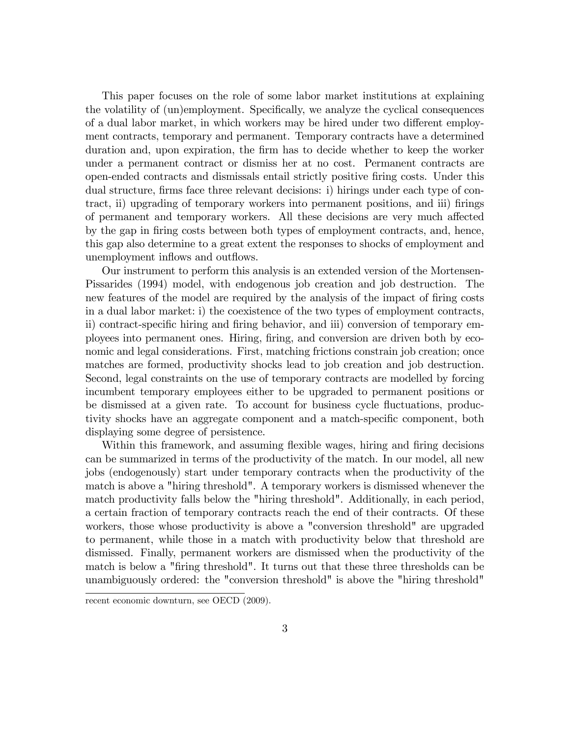This paper focuses on the role of some labor market institutions at explaining the volatility of (un)employment. Specifically, we analyze the cyclical consequences of a dual labor market, in which workers may be hired under two different employment contracts, temporary and permanent. Temporary contracts have a determined duration and, upon expiration, the firm has to decide whether to keep the worker under a permanent contract or dismiss her at no cost. Permanent contracts are open-ended contracts and dismissals entail strictly positive Öring costs. Under this dual structure, firms face three relevant decisions: i) hirings under each type of contract, ii) upgrading of temporary workers into permanent positions, and iii) firings of permanent and temporary workers. All these decisions are very much affected by the gap in Öring costs between both types of employment contracts, and, hence, this gap also determine to a great extent the responses to shocks of employment and unemployment inflows and outflows.

Our instrument to perform this analysis is an extended version of the Mortensen-Pissarides (1994) model, with endogenous job creation and job destruction. The new features of the model are required by the analysis of the impact of firing costs in a dual labor market: i) the coexistence of the two types of employment contracts, ii) contract-specific hiring and firing behavior, and iii) conversion of temporary employees into permanent ones. Hiring, Öring, and conversion are driven both by economic and legal considerations. First, matching frictions constrain job creation; once matches are formed, productivity shocks lead to job creation and job destruction. Second, legal constraints on the use of temporary contracts are modelled by forcing incumbent temporary employees either to be upgraded to permanent positions or be dismissed at a given rate. To account for business cycle fluctuations, productivity shocks have an aggregate component and a match-specific component, both displaying some degree of persistence.

Within this framework, and assuming flexible wages, hiring and firing decisions can be summarized in terms of the productivity of the match. In our model, all new jobs (endogenously) start under temporary contracts when the productivity of the match is above a "hiring threshold". A temporary workers is dismissed whenever the match productivity falls below the "hiring threshold". Additionally, in each period, a certain fraction of temporary contracts reach the end of their contracts. Of these workers, those whose productivity is above a "conversion threshold" are upgraded to permanent, while those in a match with productivity below that threshold are dismissed. Finally, permanent workers are dismissed when the productivity of the match is below a "firing threshold". It turns out that these three thresholds can be unambiguously ordered: the "conversion threshold" is above the "hiring threshold"

recent economic downturn, see OECD (2009).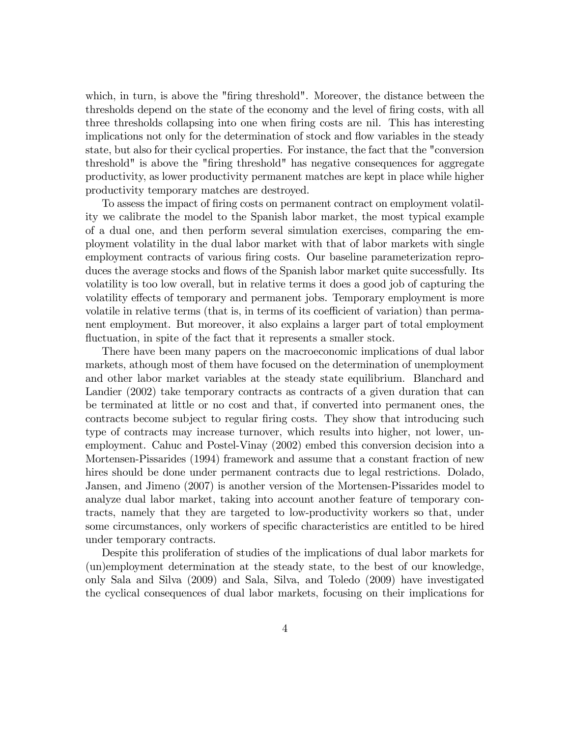which, in turn, is above the "firing threshold". Moreover, the distance between the thresholds depend on the state of the economy and the level of Öring costs, with all three thresholds collapsing into one when firing costs are nil. This has interesting implications not only for the determination of stock and flow variables in the steady state, but also for their cyclical properties. For instance, the fact that the "conversion threshold" is above the "firing threshold" has negative consequences for aggregate productivity, as lower productivity permanent matches are kept in place while higher productivity temporary matches are destroyed.

To assess the impact of Öring costs on permanent contract on employment volatility we calibrate the model to the Spanish labor market, the most typical example of a dual one, and then perform several simulation exercises, comparing the employment volatility in the dual labor market with that of labor markets with single employment contracts of various firing costs. Our baseline parameterization reproduces the average stocks and flows of the Spanish labor market quite successfully. Its volatility is too low overall, but in relative terms it does a good job of capturing the volatility effects of temporary and permanent jobs. Temporary employment is more volatile in relative terms (that is, in terms of its coefficient of variation) than permanent employment. But moreover, it also explains a larger part of total employment fluctuation, in spite of the fact that it represents a smaller stock.

There have been many papers on the macroeconomic implications of dual labor markets, athough most of them have focused on the determination of unemployment and other labor market variables at the steady state equilibrium. Blanchard and Landier (2002) take temporary contracts as contracts of a given duration that can be terminated at little or no cost and that, if converted into permanent ones, the contracts become subject to regular firing costs. They show that introducing such type of contracts may increase turnover, which results into higher, not lower, unemployment. Cahuc and Postel-Vinay (2002) embed this conversion decision into a Mortensen-Pissarides (1994) framework and assume that a constant fraction of new hires should be done under permanent contracts due to legal restrictions. Dolado, Jansen, and Jimeno (2007) is another version of the Mortensen-Pissarides model to analyze dual labor market, taking into account another feature of temporary contracts, namely that they are targeted to low-productivity workers so that, under some circumstances, only workers of specific characteristics are entitled to be hired under temporary contracts.

Despite this proliferation of studies of the implications of dual labor markets for (un)employment determination at the steady state, to the best of our knowledge, only Sala and Silva (2009) and Sala, Silva, and Toledo (2009) have investigated the cyclical consequences of dual labor markets, focusing on their implications for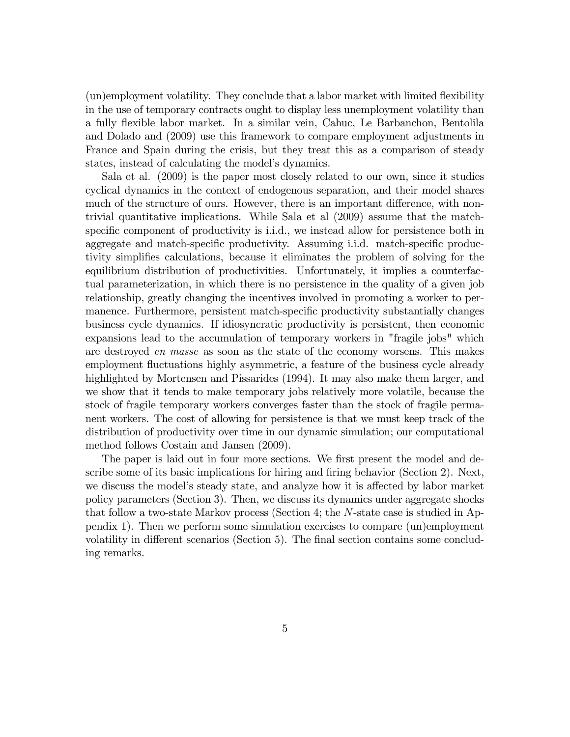(un)employment volatility. They conclude that a labor market with limited flexibility in the use of temporary contracts ought to display less unemployment volatility than a fully áexible labor market. In a similar vein, Cahuc, Le Barbanchon, Bentolila and Dolado and (2009) use this framework to compare employment adjustments in France and Spain during the crisis, but they treat this as a comparison of steady states, instead of calculating the model's dynamics.

Sala et al. (2009) is the paper most closely related to our own, since it studies cyclical dynamics in the context of endogenous separation, and their model shares much of the structure of ours. However, there is an important difference, with nontrivial quantitative implications. While Sala et al (2009) assume that the matchspecific component of productivity is i.i.d., we instead allow for persistence both in aggregate and match-specific productivity. Assuming i.i.d. match-specific productivity simplifies calculations, because it eliminates the problem of solving for the equilibrium distribution of productivities. Unfortunately, it implies a counterfactual parameterization, in which there is no persistence in the quality of a given job relationship, greatly changing the incentives involved in promoting a worker to permanence. Furthermore, persistent match-specific productivity substantially changes business cycle dynamics. If idiosyncratic productivity is persistent, then economic expansions lead to the accumulation of temporary workers in "fragile jobs" which are destroyed en masse as soon as the state of the economy worsens. This makes employment fluctuations highly asymmetric, a feature of the business cycle already highlighted by Mortensen and Pissarides (1994). It may also make them larger, and we show that it tends to make temporary jobs relatively more volatile, because the stock of fragile temporary workers converges faster than the stock of fragile permanent workers. The cost of allowing for persistence is that we must keep track of the distribution of productivity over time in our dynamic simulation; our computational method follows Costain and Jansen (2009).

The paper is laid out in four more sections. We first present the model and describe some of its basic implications for hiring and firing behavior (Section 2). Next, we discuss the model's steady state, and analyze how it is affected by labor market policy parameters (Section 3). Then, we discuss its dynamics under aggregate shocks that follow a two-state Markov process (Section 4; the N-state case is studied in Appendix 1). Then we perform some simulation exercises to compare (un)employment volatility in different scenarios (Section 5). The final section contains some concluding remarks.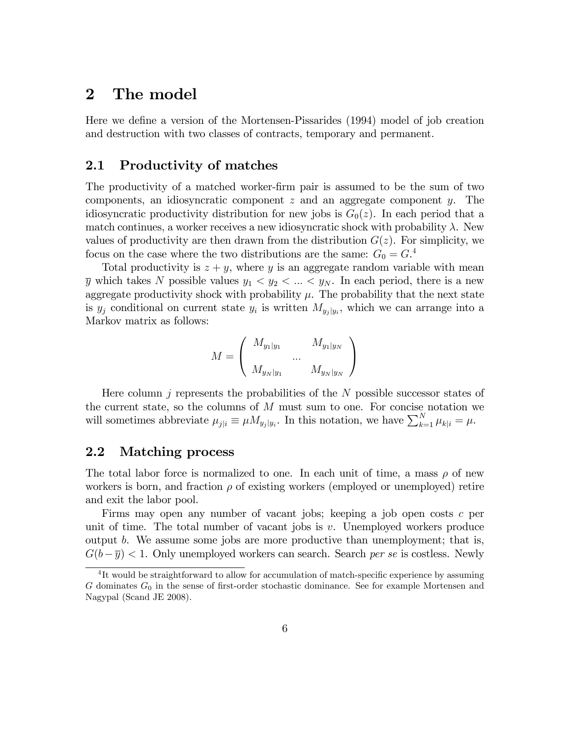# 2 The model

Here we define a version of the Mortensen-Pissarides (1994) model of job creation and destruction with two classes of contracts, temporary and permanent.

# 2.1 Productivity of matches

The productivity of a matched worker-Örm pair is assumed to be the sum of two components, an idiosyncratic component  $z$  and an aggregate component  $y$ . The idiosyncratic productivity distribution for new jobs is  $G_0(z)$ . In each period that a match continues, a worker receives a new idiosyncratic shock with probability  $\lambda$ . New values of productivity are then drawn from the distribution  $G(z)$ . For simplicity, we focus on the case where the two distributions are the same:  $G_0 = G<sup>4</sup>$ 

Total productivity is  $z + y$ , where y is an aggregate random variable with mean  $\overline{y}$  which takes N possible values  $y_1 < y_2 < ... < y_N$ . In each period, there is a new aggregate productivity shock with probability  $\mu$ . The probability that the next state is  $y_j$  conditional on current state  $y_i$  is written  $M_{y_j|y_i}$ , which we can arrange into a Markov matrix as follows:

$$
M = \left( \begin{array}{cc} M_{y_1|y_1} & & M_{y_1|y_N} \\ & \dots & \\ M_{y_N|y_1} & & M_{y_N|y_N} \end{array} \right)
$$

Here column  $j$  represents the probabilities of the  $N$  possible successor states of the current state, so the columns of  $M$  must sum to one. For concise notation we will sometimes abbreviate  $\mu_{j|i} \equiv \mu M_{y_j|y_i}$ . In this notation, we have  $\sum_{k=1}^{N} \mu_{k|i} = \mu$ .

# 2.2 Matching process

The total labor force is normalized to one. In each unit of time, a mass  $\rho$  of new workers is born, and fraction  $\rho$  of existing workers (employed or unemployed) retire and exit the labor pool.

Firms may open any number of vacant jobs; keeping a job open costs c per unit of time. The total number of vacant jobs is  $v$ . Unemployed workers produce output b. We assume some jobs are more productive than unemployment; that is,  $G(b-\overline{y}) < 1$ . Only unemployed workers can search. Search per se is costless. Newly

<sup>&</sup>lt;sup>4</sup>It would be straightforward to allow for accumulation of match-specific experience by assuming G dominates  $G_0$  in the sense of first-order stochastic dominance. See for example Mortensen and Nagypal (Scand JE 2008).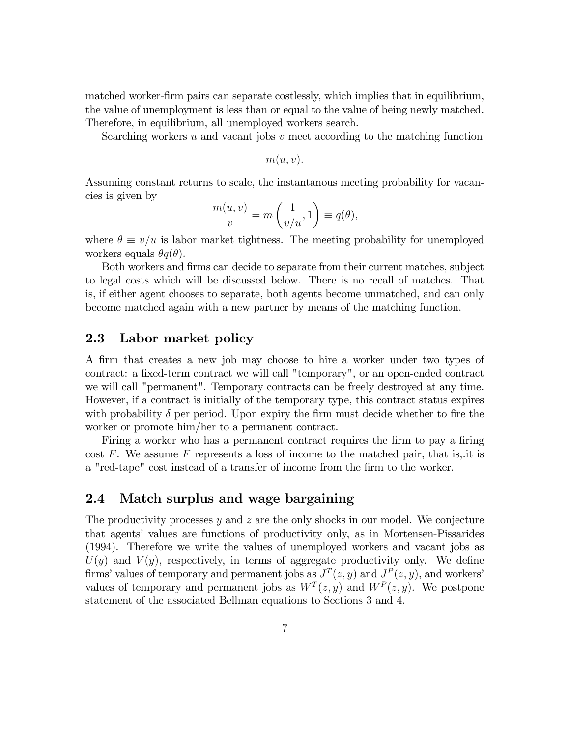matched worker-firm pairs can separate costlessly, which implies that in equilibrium, the value of unemployment is less than or equal to the value of being newly matched. Therefore, in equilibrium, all unemployed workers search.

Searching workers  $u$  and vacant jobs  $v$  meet according to the matching function

 $m(u, v).$ 

Assuming constant returns to scale, the instantanous meeting probability for vacancies is given by

$$
\frac{m(u,v)}{v} = m\left(\frac{1}{v/u}, 1\right) \equiv q(\theta),
$$

where  $\theta \equiv v/u$  is labor market tightness. The meeting probability for unemployed workers equals  $\theta q(\theta)$ .

Both workers and firms can decide to separate from their current matches, subject to legal costs which will be discussed below. There is no recall of matches. That is, if either agent chooses to separate, both agents become unmatched, and can only become matched again with a new partner by means of the matching function.

## 2.3 Labor market policy

A Örm that creates a new job may choose to hire a worker under two types of contract: a fixed-term contract we will call "temporary", or an open-ended contract we will call "permanent". Temporary contracts can be freely destroyed at any time. However, if a contract is initially of the temporary type, this contract status expires with probability  $\delta$  per period. Upon expiry the firm must decide whether to fire the worker or promote him/her to a permanent contract.

Firing a worker who has a permanent contract requires the firm to pay a firing cost  $F$ . We assume  $F$  represents a loss of income to the matched pair, that is, it is a "red-tape" cost instead of a transfer of income from the firm to the worker.

## 2.4 Match surplus and wage bargaining

The productivity processes y and  $z$  are the only shocks in our model. We conjecture that agents' values are functions of productivity only, as in Mortensen-Pissarides (1994). Therefore we write the values of unemployed workers and vacant jobs as  $U(y)$  and  $V(y)$ , respectively, in terms of aggregate productivity only. We define firms' values of temporary and permanent jobs as  $J<sup>T</sup>(z, y)$  and  $J<sup>P</sup>(z, y)$ , and workers' values of temporary and permanent jobs as  $W^T(z, y)$  and  $W^P(z, y)$ . We postpone statement of the associated Bellman equations to Sections 3 and 4.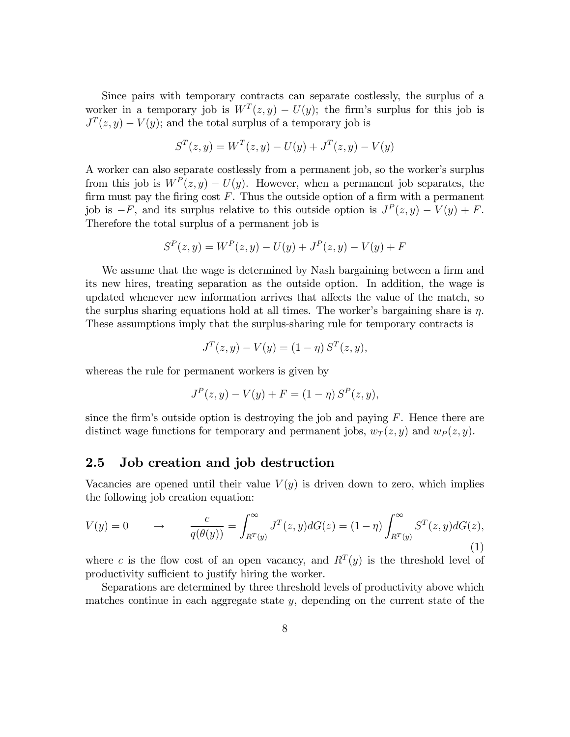Since pairs with temporary contracts can separate costlessly, the surplus of a worker in a temporary job is  $W^T(z, y) - U(y)$ ; the firm's surplus for this job is  $J<sup>T</sup>(z, y) - V(y)$ ; and the total surplus of a temporary job is

$$
S^{T}(z, y) = W^{T}(z, y) - U(y) + J^{T}(z, y) - V(y)
$$

A worker can also separate costlessly from a permanent job, so the worker's surplus from this job is  $W^P(z, y) - U(y)$ . However, when a permanent job separates, the firm must pay the firing cost  $F$ . Thus the outside option of a firm with a permanent job is  $-F$ , and its surplus relative to this outside option is  $J<sup>P</sup>(z, y) - V(y) + F$ . Therefore the total surplus of a permanent job is

$$
S^{P}(z, y) = W^{P}(z, y) - U(y) + J^{P}(z, y) - V(y) + F
$$

We assume that the wage is determined by Nash bargaining between a firm and its new hires, treating separation as the outside option. In addition, the wage is updated whenever new information arrives that affects the value of the match, so the surplus sharing equations hold at all times. The worker's bargaining share is  $\eta$ . These assumptions imply that the surplus-sharing rule for temporary contracts is

$$
J^{T}(z, y) - V(y) = (1 - \eta) S^{T}(z, y),
$$

whereas the rule for permanent workers is given by

$$
J^{P}(z, y) - V(y) + F = (1 - \eta) S^{P}(z, y),
$$

since the firm's outside option is destroying the job and paying  $F$ . Hence there are distinct wage functions for temporary and permanent jobs,  $w_T(z, y)$  and  $w_P(z, y)$ .

### 2.5 Job creation and job destruction

Vacancies are opened until their value  $V(y)$  is driven down to zero, which implies the following job creation equation:

$$
V(y) = 0 \qquad \to \qquad \frac{c}{q(\theta(y))} = \int_{R^T(y)}^{\infty} J^T(z, y) dG(z) = (1 - \eta) \int_{R^T(y)}^{\infty} S^T(z, y) dG(z), \tag{1}
$$

where c is the flow cost of an open vacancy, and  $R^{T}(y)$  is the threshold level of productivity sufficient to justify hiring the worker.

Separations are determined by three threshold levels of productivity above which matches continue in each aggregate state y, depending on the current state of the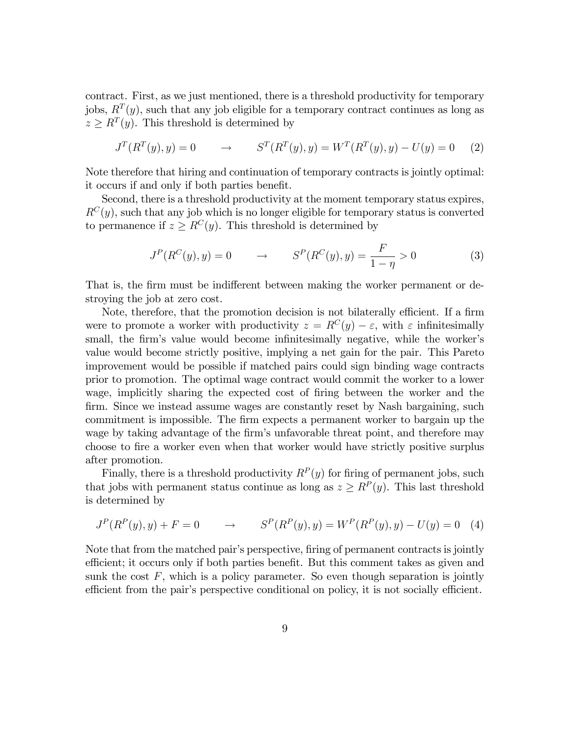contract. First, as we just mentioned, there is a threshold productivity for temporary jobs,  $R^{T}(y)$ , such that any job eligible for a temporary contract continues as long as  $z \geq R^{T}(y)$ . This threshold is determined by

$$
J^{T}(R^{T}(y), y) = 0 \qquad \to \qquad S^{T}(R^{T}(y), y) = W^{T}(R^{T}(y), y) - U(y) = 0 \tag{2}
$$

Note therefore that hiring and continuation of temporary contracts is jointly optimal: it occurs if and only if both parties benefit.

Second, there is a threshold productivity at the moment temporary status expires,  $R^{C}(y)$ , such that any job which is no longer eligible for temporary status is converted to permanence if  $z \geq R^{C}(y)$ . This threshold is determined by

$$
J^{P}(R^{C}(y), y) = 0 \qquad \to \qquad S^{P}(R^{C}(y), y) = \frac{F}{1 - \eta} > 0 \tag{3}
$$

That is, the firm must be indifferent between making the worker permanent or destroying the job at zero cost.

Note, therefore, that the promotion decision is not bilaterally efficient. If a firm were to promote a worker with productivity  $z = R^{C}(y) - \varepsilon$ , with  $\varepsilon$  infinitesimally small, the firm's value would become infinitesimally negative, while the worker's value would become strictly positive, implying a net gain for the pair. This Pareto improvement would be possible if matched pairs could sign binding wage contracts prior to promotion. The optimal wage contract would commit the worker to a lower wage, implicitly sharing the expected cost of firing between the worker and the firm. Since we instead assume wages are constantly reset by Nash bargaining, such commitment is impossible. The Örm expects a permanent worker to bargain up the wage by taking advantage of the firm's unfavorable threat point, and therefore may choose to Öre a worker even when that worker would have strictly positive surplus after promotion.

Finally, there is a threshold productivity  $R^{P}(y)$  for firing of permanent jobs, such that jobs with permanent status continue as long as  $z \ge R^P(y)$ . This last threshold is determined by

$$
J^{P}(R^{P}(y), y) + F = 0 \qquad \to \qquad S^{P}(R^{P}(y), y) = W^{P}(R^{P}(y), y) - U(y) = 0 \quad (4)
$$

Note that from the matched pair's perspective, firing of permanent contracts is jointly efficient; it occurs only if both parties benefit. But this comment takes as given and sunk the cost  $F$ , which is a policy parameter. So even though separation is jointly efficient from the pair's perspective conditional on policy, it is not socially efficient.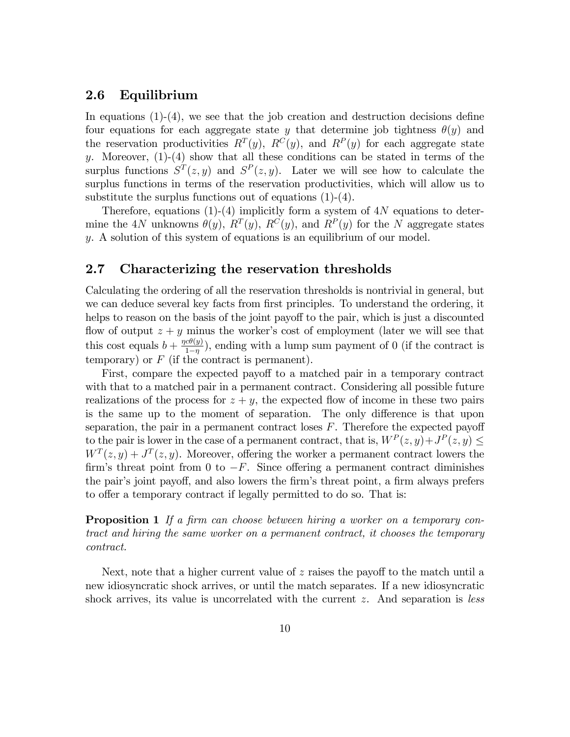### 2.6 Equilibrium

In equations  $(1)-(4)$ , we see that the job creation and destruction decisions define four equations for each aggregate state y that determine job tightness  $\theta(y)$  and the reservation productivities  $R^{T}(y)$ ,  $R^{C}(y)$ , and  $R^{P}(y)$  for each aggregate state y. Moreover,  $(1)-(4)$  show that all these conditions can be stated in terms of the surplus functions  $S<sup>T</sup>(z, y)$  and  $S<sup>P</sup>(z, y)$ . Later we will see how to calculate the surplus functions in terms of the reservation productivities, which will allow us to substitute the surplus functions out of equations  $(1)-(4)$ .

Therefore, equations (1)-(4) implicitly form a system of  $4N$  equations to determine the 4N unknowns  $\theta(y)$ ,  $R^{T}(y)$ ,  $R^{C}(y)$ , and  $R^{P}(y)$  for the N aggregate states y. A solution of this system of equations is an equilibrium of our model.

### 2.7 Characterizing the reservation thresholds

Calculating the ordering of all the reservation thresholds is nontrivial in general, but we can deduce several key facts from first principles. To understand the ordering, it helps to reason on the basis of the joint payoff to the pair, which is just a discounted flow of output  $z + y$  minus the worker's cost of employment (later we will see that this cost equals  $b + \frac{\eta c \theta(y)}{1 - n}$  $\frac{co(y)}{1-\eta}$ , ending with a lump sum payment of 0 (if the contract is temporary) or  $F$  (if the contract is permanent).

First, compare the expected payoff to a matched pair in a temporary contract with that to a matched pair in a permanent contract. Considering all possible future realizations of the process for  $z + y$ , the expected flow of income in these two pairs is the same up to the moment of separation. The only difference is that upon separation, the pair in a permanent contract loses  $F$ . Therefore the expected payoff to the pair is lower in the case of a permanent contract, that is,  $W^P(z, y) + J^P(z, y) \le$  $W^{T}(z, y) + J^{T}(z, y)$ . Moreover, offering the worker a permanent contract lowers the firm's threat point from 0 to  $-F$ . Since offering a permanent contract diminishes the pair's joint payoff, and also lowers the firm's threat point, a firm always prefers to offer a temporary contract if legally permitted to do so. That is:

# **Proposition 1** If a firm can choose between hiring a worker on a temporary contract and hiring the same worker on a permanent contract, it chooses the temporary contract.

Next, note that a higher current value of  $z$  raises the payoff to the match until a new idiosyncratic shock arrives, or until the match separates. If a new idiosyncratic shock arrives, its value is uncorrelated with the current z. And separation is *less*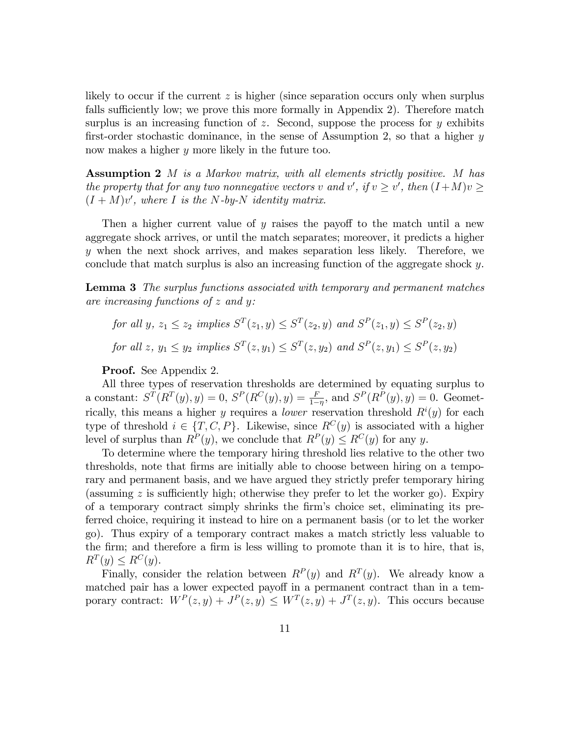likely to occur if the current z is higher (since separation occurs only when surplus falls sufficiently low; we prove this more formally in Appendix 2). Therefore match surplus is an increasing function of z. Second, suppose the process for  $y$  exhibits first-order stochastic dominance, in the sense of Assumption 2, so that a higher  $y$ now makes a higher y more likely in the future too.

Assumption 2 M is a Markov matrix, with all elements strictly positive. M has the property that for any two nonnegative vectors v and v', if  $v \ge v'$ , then  $(I+M)v \ge$  $(I + M)v'$ , where I is the N-by-N identity matrix.

Then a higher current value of  $y$  raises the payoff to the match until a new aggregate shock arrives, or until the match separates; moreover, it predicts a higher y when the next shock arrives, and makes separation less likely. Therefore, we conclude that match surplus is also an increasing function of the aggregate shock y.

**Lemma 3** The surplus functions associated with temporary and permanent matches are increasing functions of  $z$  and  $y$ :

for all  $y, z_1 \le z_2$  implies  $S^T(z_1, y) \le S^T(z_2, y)$  and  $S^P(z_1, y) \le S^P(z_2, y)$ for all z,  $y_1 \le y_2$  implies  $S^T(z, y_1) \le S^T(z, y_2)$  and  $S^P(z, y_1) \le S^P(z, y_2)$ 

Proof. See Appendix 2.

All three types of reservation thresholds are determined by equating surplus to a constant:  $S^{T}(R^{T}(y), y) = 0$ ,  $S^{P}(R^{C}(y), y) = \frac{F}{1-\eta}$ , and  $S^{P}(R^{P}(y), y) = 0$ . Geometrically, this means a higher y requires a *lower* reservation threshold  $R^{i}(y)$  for each type of threshold  $i \in \{T, C, P\}$ . Likewise, since  $R^{C}(y)$  is associated with a higher level of surplus than  $R^P(y)$ , we conclude that  $R^P(y) \leq R^C(y)$  for any y.

To determine where the temporary hiring threshold lies relative to the other two thresholds, note that Örms are initially able to choose between hiring on a temporary and permanent basis, and we have argued they strictly prefer temporary hiring (assuming  $z$  is sufficiently high; otherwise they prefer to let the worker go). Expiry of a temporary contract simply shrinks the Örmís choice set, eliminating its preferred choice, requiring it instead to hire on a permanent basis (or to let the worker go). Thus expiry of a temporary contract makes a match strictly less valuable to the firm; and therefore a firm is less willing to promote than it is to hire, that is,  $R^T(y) \leq R^C(y).$ 

Finally, consider the relation between  $R^P(y)$  and  $R^T(y)$ . We already know a matched pair has a lower expected payoff in a permanent contract than in a temporary contract:  $W^P(z, y) + J^P(z, y) \leq W^T(z, y) + J^T(z, y)$ . This occurs because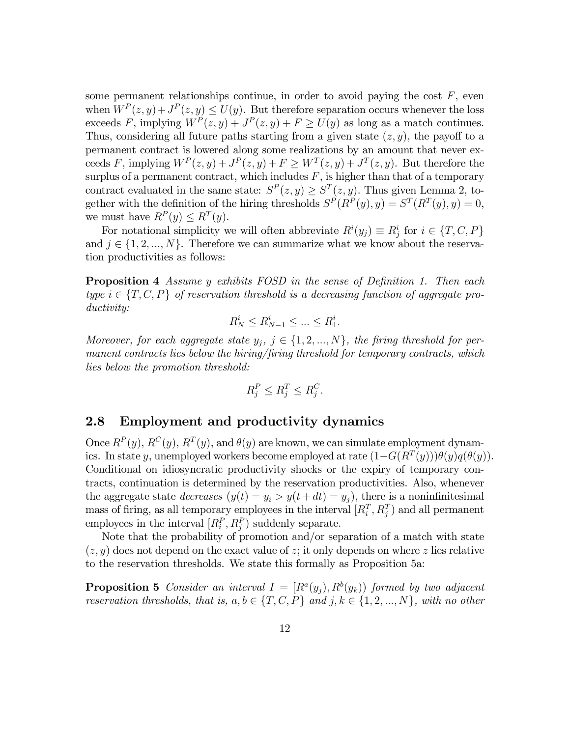some permanent relationships continue, in order to avoid paying the cost  $F$ , even when  $W^P(z, y) + J^P(z, y) \leq U(y)$ . But therefore separation occurs whenever the loss exceeds F, implying  $W^P(z, y) + J^P(z, y) + F \ge U(y)$  as long as a match continues. Thus, considering all future paths starting from a given state  $(z, y)$ , the payoff to a permanent contract is lowered along some realizations by an amount that never exceeds F, implying  $W^P(z, y) + J^P(z, y) + F \geq W^T(z, y) + J^T(z, y)$ . But therefore the surplus of a permanent contract, which includes  $F$ , is higher than that of a temporary contract evaluated in the same state:  $S^P(z, y) \geq S^T(z, y)$ . Thus given Lemma 2, together with the definition of the hiring thresholds  $S^P(R^P(y), y) = S^T(R^T(y), y) = 0$ , we must have  $R^P(y) \leq R^T(y)$ .

For notational simplicity we will often abbreviate  $R^i(y_j) \equiv R^i_j$  for  $i \in \{T, C, P\}$ and  $j \in \{1, 2, ..., N\}$ . Therefore we can summarize what we know about the reservation productivities as follows:

**Proposition 4** Assume y exhibits FOSD in the sense of Definition 1. Then each type  $i \in \{T, C, P\}$  of reservation threshold is a decreasing function of aggregate productivity:

$$
R_N^i \le R_{N-1}^i \le \dots \le R_1^i.
$$

Moreover, for each aggregate state  $y_i, j \in \{1, 2, ..., N\}$ , the firing threshold for permanent contracts lies below the hiring/firing threshold for temporary contracts, which lies below the promotion threshold:

$$
R_j^P \le R_j^T \le R_j^C.
$$

# 2.8 Employment and productivity dynamics

Once  $R^{P}(y)$ ,  $R^{C}(y)$ ,  $R^{T}(y)$ , and  $\theta(y)$  are known, we can simulate employment dynamics. In state y, unemployed workers become employed at rate  $(1-G(R^T(y)))\theta(y)q(\theta(y))$ . Conditional on idiosyncratic productivity shocks or the expiry of temporary contracts, continuation is determined by the reservation productivities. Also, whenever the aggregate state *decreases*  $(y(t) = y_i > y(t + dt) = y_i)$ , there is a noninfinitesimal mass of firing, as all temporary employees in the interval  $[R_i^T, R_j^T]$  and all permanent employees in the interval  $[R_i^P, R_j^P]$  suddenly separate.

Note that the probability of promotion and/or separation of a match with state  $(z, y)$  does not depend on the exact value of z; it only depends on where z lies relative to the reservation thresholds. We state this formally as Proposition 5a:

**Proposition 5** Consider an interval  $I = [R^a(y_j), R^b(y_k)]$  formed by two adjacent reservation thresholds, that is,  $a, b \in \{T, C, P\}$  and  $j, k \in \{1, 2, ..., N\}$ , with no other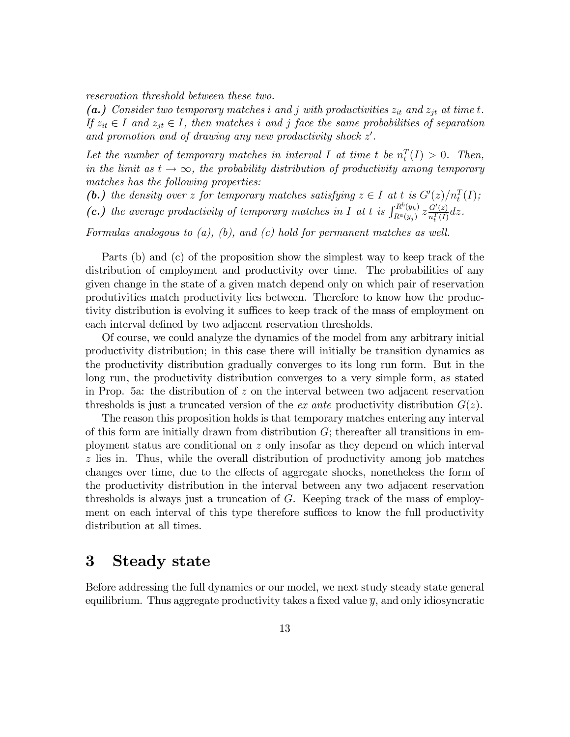reservation threshold between these two.

(a.) Consider two temporary matches i and j with productivities  $z_{it}$  and  $z_{jt}$  at time t. If  $z_{it} \in I$  and  $z_{jt} \in I$ , then matches i and j face the same probabilities of separation and promotion and of drawing any new productivity shock  $z'$ .

Let the number of temporary matches in interval I at time t be  $n_t^T(I) > 0$ . Then, in the limit as  $t \to \infty$ , the probability distribution of productivity among temporary matches has the following properties:

(b.) the density over z for temporary matches satisfying  $z \in I$  at t is  $G'(z)/n_t^T(I)$ ;

(c.) the average productivity of temporary matches in I at t is  $\int_{R^a(y)}^{R^b(y_k)}$  $R^a(y_k) \,\, z \frac{G'(z)}{n_t^T(I)}$  $rac{G'(z)}{n_t^T(I)}dz.$ 

Formulas analogous to  $(a)$ ,  $(b)$ , and  $(c)$  hold for permanent matches as well.

Parts (b) and (c) of the proposition show the simplest way to keep track of the distribution of employment and productivity over time. The probabilities of any given change in the state of a given match depend only on which pair of reservation produtivities match productivity lies between. Therefore to know how the productivity distribution is evolving it suffices to keep track of the mass of employment on each interval defined by two adjacent reservation thresholds.

Of course, we could analyze the dynamics of the model from any arbitrary initial productivity distribution; in this case there will initially be transition dynamics as the productivity distribution gradually converges to its long run form. But in the long run, the productivity distribution converges to a very simple form, as stated in Prop. 5a: the distribution of  $z$  on the interval between two adjacent reservation thresholds is just a truncated version of the *ex ante* productivity distribution  $G(z)$ .

The reason this proposition holds is that temporary matches entering any interval of this form are initially drawn from distribution  $G$ ; thereafter all transitions in employment status are conditional on z only insofar as they depend on which interval z lies in. Thus, while the overall distribution of productivity among job matches changes over time, due to the effects of aggregate shocks, nonetheless the form of the productivity distribution in the interval between any two adjacent reservation thresholds is always just a truncation of G. Keeping track of the mass of employment on each interval of this type therefore suffices to know the full productivity distribution at all times.

# 3 Steady state

Before addressing the full dynamics or our model, we next study steady state general equilibrium. Thus aggregate productivity takes a fixed value  $\bar{y}$ , and only idiosyncratic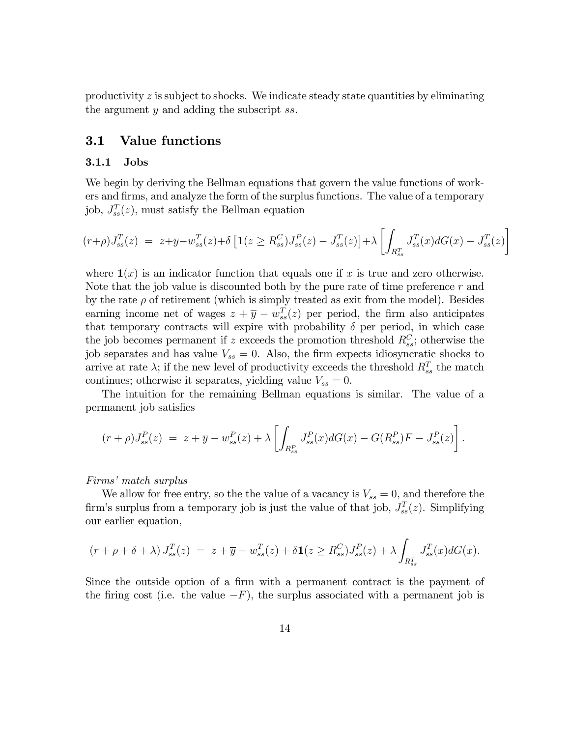productivity  $z$  is subject to shocks. We indicate steady state quantities by eliminating the argument y and adding the subscript ss.

## 3.1 Value functions

#### 3.1.1 Jobs

We begin by deriving the Bellman equations that govern the value functions of workers and Örms, and analyze the form of the surplus functions. The value of a temporary job,  $J_{ss}^T(z)$ , must satisfy the Bellman equation

$$
(r+\rho)J_{ss}^T(z) = z+\overline{y}-w_{ss}^T(z)+\delta \left[ \mathbf{1}(z \geq R_{ss}^C)J_{ss}^P(z) - J_{ss}^T(z) \right] + \lambda \left[ \int_{R_{ss}^T} J_{ss}^T(x)dG(x) - J_{ss}^T(z) \right]
$$

where  $\mathbf{1}(x)$  is an indicator function that equals one if x is true and zero otherwise. Note that the job value is discounted both by the pure rate of time preference  $r$  and by the rate  $\rho$  of retirement (which is simply treated as exit from the model). Besides earning income net of wages  $z + \overline{y} - w_{ss}^{T}(z)$  per period, the firm also anticipates that temporary contracts will expire with probability  $\delta$  per period, in which case the job becomes permanent if z exceeds the promotion threshold  $R_{ss}^C$ ; otherwise the job separates and has value  $V_{ss} = 0$ . Also, the firm expects idiosyncratic shocks to arrive at rate  $\lambda$ ; if the new level of productivity exceeds the threshold  $R_{ss}^T$  the match continues; otherwise it separates, yielding value  $V_{ss} = 0$ .

The intuition for the remaining Bellman equations is similar. The value of a permanent job satisfies

$$
(r+\rho)J_{ss}^P(z) = z + \overline{y} - w_{ss}^P(z) + \lambda \left[ \int_{R_{ss}^P} J_{ss}^P(x) dG(x) - G(R_{ss}^P) F - J_{ss}^P(z) \right].
$$

#### Firms' match surplus

We allow for free entry, so the the value of a vacancy is  $V_{ss} = 0$ , and therefore the firm's surplus from a temporary job is just the value of that job,  $J_{ss}^T(z)$ . Simplifying our earlier equation,

$$
(r + \rho + \delta + \lambda) J_{ss}^T(z) = z + \overline{y} - w_{ss}^T(z) + \delta \mathbf{1}(z \ge R_{ss}^C) J_{ss}^P(z) + \lambda \int_{R_{ss}^T} J_{ss}^T(x) dG(x).
$$

Since the outside option of a firm with a permanent contract is the payment of the firing cost (i.e. the value  $-F$ ), the surplus associated with a permanent job is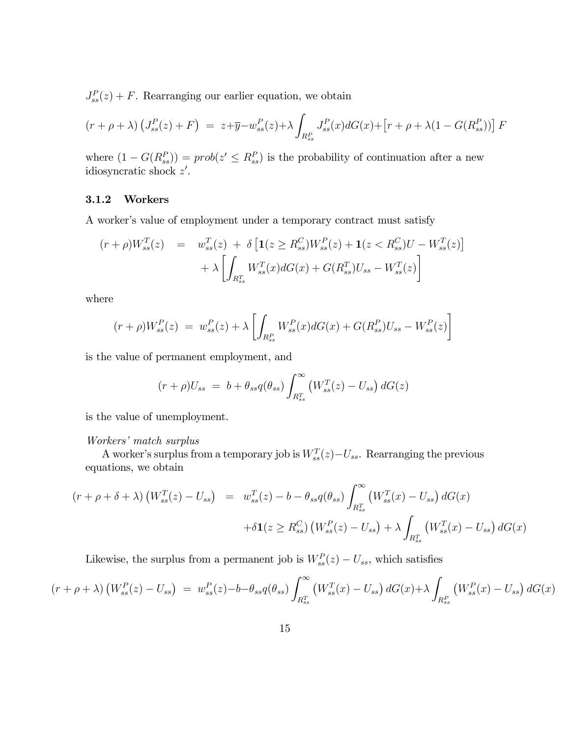$J_{ss}^{P}(z) + F$ . Rearranging our earlier equation, we obtain

$$
(r + \rho + \lambda) \left( J_{ss}^P(z) + F \right) = z + \overline{y} - w_{ss}^P(z) + \lambda \int_{R_{ss}^P} J_{ss}^P(x) dG(x) + \left[ r + \rho + \lambda (1 - G(R_{ss}^P)) \right] F
$$

where  $(1 - G(R_{ss}^P)) = prob(z' \le R_{ss}^P)$  is the probability of continuation after a new idiosyncratic shock  $z'$ .

#### 3.1.2 Workers

A worker's value of employment under a temporary contract must satisfy

$$
(r+\rho)W_{ss}^{T}(z) = w_{ss}^{T}(z) + \delta \left[ \mathbf{1}(z \geq R_{ss}^{C})W_{ss}^{P}(z) + \mathbf{1}(z < R_{ss}^{C})U - W_{ss}^{T}(z) \right] + \lambda \left[ \int_{R_{ss}^{T}} W_{ss}^{T}(x) dG(x) + G(R_{ss}^{T}) U_{ss} - W_{ss}^{T}(z) \right]
$$

where

$$
(r+\rho)W_{ss}^{P}(z) = w_{ss}^{P}(z) + \lambda \left[ \int_{R_{ss}^{P}} W_{ss}^{P}(x) dG(x) + G(R_{ss}^{P}) U_{ss} - W_{ss}^{P}(z) \right]
$$

is the value of permanent employment, and

$$
(r+\rho)U_{ss} = b + \theta_{ss}q(\theta_{ss})\int_{R_{ss}^T}^{\infty} (W_{ss}^T(z) - U_{ss}) dG(z)
$$

is the value of unemployment.

#### Workers' match surplus

A worker's surplus from a temporary job is  $W_{ss}^T(z) - U_{ss}$ . Rearranging the previous equations, we obtain

$$
(r + \rho + \delta + \lambda) \left( W_{ss}^T(z) - U_{ss} \right) = w_{ss}^T(z) - b - \theta_{ss} q(\theta_{ss}) \int_{R_{ss}^T}^{\infty} \left( W_{ss}^T(x) - U_{ss} \right) dG(x)
$$

$$
+ \delta \mathbf{1}(z \ge R_{ss}^C) \left( W_{ss}^P(z) - U_{ss} \right) + \lambda \int_{R_{ss}^T} \left( W_{ss}^T(x) - U_{ss} \right) dG(x)
$$

Likewise, the surplus from a permanent job is  $W_{ss}^P(z) - U_{ss}$ , which satisfies

$$
(r + \rho + \lambda) \left( W_{ss}^P(z) - U_{ss} \right) = w_{ss}^P(z) - b - \theta_{ss} q(\theta_{ss}) \int_{R_{ss}^T}^{\infty} \left( W_{ss}^T(x) - U_{ss} \right) dG(x) + \lambda \int_{R_{ss}^P} \left( W_{ss}^P(x) - U_{ss} \right) dG(x)
$$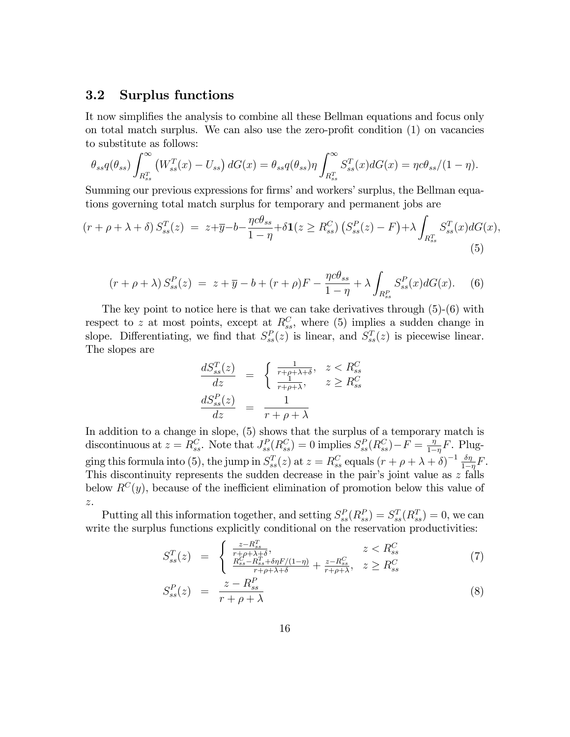### 3.2 Surplus functions

It now simplifies the analysis to combine all these Bellman equations and focus only on total match surplus. We can also use the zero-profit condition  $(1)$  on vacancies to substitute as follows:

$$
\theta_{ss}q(\theta_{ss})\int_{R_{ss}^T}^{\infty} \left(W_{ss}^T(x) - U_{ss}\right)dG(x) = \theta_{ss}q(\theta_{ss})\eta \int_{R_{ss}^T}^{\infty} S_{ss}^T(x)dG(x) = \eta c\theta_{ss}/(1-\eta).
$$

Summing our previous expressions for firms' and workers' surplus, the Bellman equations governing total match surplus for temporary and permanent jobs are

$$
(r + \rho + \lambda + \delta) S_{ss}^T(z) = z + \overline{y} - b - \frac{\eta c \theta_{ss}}{1 - \eta} + \delta \mathbf{1}(z \ge R_{ss}^C) \left( S_{ss}^P(z) - F \right) + \lambda \int_{R_{ss}^T} S_{ss}^T(x) dG(x), \tag{5}
$$

$$
(r+\rho+\lambda) S_{ss}^P(z) = z+\overline{y}-b+(r+\rho)F - \frac{\eta c\theta_{ss}}{1-\eta} + \lambda \int_{R_{ss}^P} S_{ss}^P(x)dG(x). \tag{6}
$$

The key point to notice here is that we can take derivatives through (5)-(6) with respect to z at most points, except at  $R_{ss}^C$ , where (5) implies a sudden change in slope. Differentiating, we find that  $S_{ss}^P(z)$  is linear, and  $S_{ss}^T(z)$  is piecewise linear. The slopes are

$$
\frac{dS_{ss}^{T}(z)}{dz} = \begin{cases} \frac{1}{r+\rho+\lambda+\delta}, & z < R_{ss}^{C} \\ \frac{1}{r+\rho+\lambda}, & z \ge R_{ss}^{C} \\ \frac{dS_{ss}^{P}(z)}{dz} = \frac{1}{r+\rho+\lambda} \end{cases}
$$

In addition to a change in slope, (5) shows that the surplus of a temporary match is discontinuous at  $z = R_{ss}^C$ . Note that  $J_{ss}^P(R_{ss}^C) = 0$  implies  $S_{ss}^P(R_{ss}^C) - F = \frac{\eta}{1-\eta}$  $\frac{\eta}{1-\eta}F$ . Plugging this formula into (5), the jump in  $S_{ss}^T(z)$  at  $z = R_{ss}^C$  equals  $(r + \rho + \lambda + \delta)^{-1} \frac{\delta \eta}{1 - \lambda}$  $\frac{\partial \eta}{1-\eta}F$ . This discontinuity represents the sudden decrease in the pair's joint value as  $z$  falls below  $R^{C}(y)$ , because of the inefficient elimination of promotion below this value of z.

Putting all this information together, and setting  $S_{ss}^P(R_{ss}^P) = S_{ss}^T(R_{ss}^T) = 0$ , we can write the surplus functions explicitly conditional on the reservation productivities:

$$
S_{ss}^{T}(z) = \begin{cases} \frac{z - R_{ss}^{T}}{r + \rho + \lambda + \delta}, & z < R_{ss}^{C} \\ \frac{R_{ss}^{C} - R_{ss}^{T} + \delta \eta F / (1 - \eta)}{r + \rho + \lambda + \delta} + \frac{z - R_{ss}^{C}}{r + \rho + \lambda}, & z \ge R_{ss}^{C} \end{cases}
$$
(7)

$$
S_{ss}^{P}(z) = \frac{z - R_{ss}^{P}}{r + \rho + \lambda} \tag{8}
$$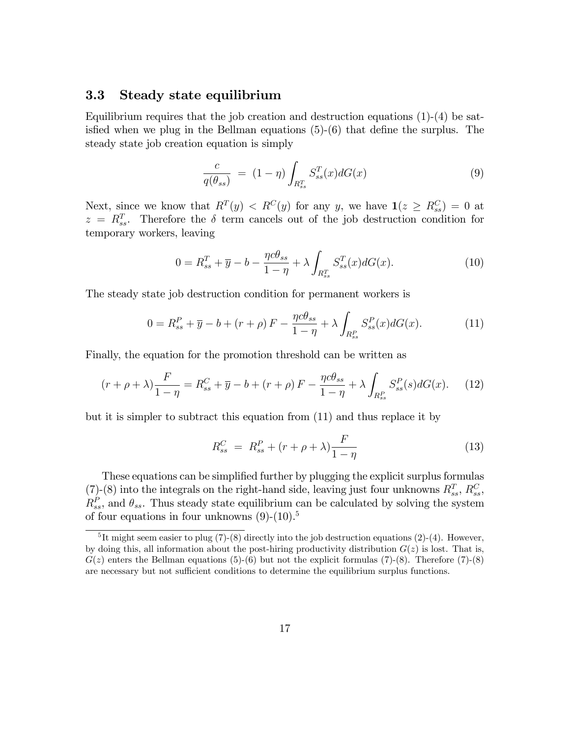### 3.3 Steady state equilibrium

Equilibrium requires that the job creation and destruction equations  $(1)-(4)$  be satisfied when we plug in the Bellman equations  $(5)-(6)$  that define the surplus. The steady state job creation equation is simply

$$
\frac{c}{q(\theta_{ss})} = (1 - \eta) \int_{R_{ss}^T} S_{ss}^T(x) dG(x) \tag{9}
$$

Next, since we know that  $R^{T}(y) < R^{C}(y)$  for any y, we have  $\mathbf{1}(z \geq R_{ss}^{C}) = 0$  at  $z = R_{ss}^T$ . Therefore the  $\delta$  term cancels out of the job destruction condition for temporary workers, leaving

$$
0 = R_{ss}^T + \overline{y} - b - \frac{\eta c \theta_{ss}}{1 - \eta} + \lambda \int_{R_{ss}^T} S_{ss}^T(x) dG(x).
$$
 (10)

The steady state job destruction condition for permanent workers is

$$
0 = R_{ss}^P + \overline{y} - b + (r + \rho) F - \frac{\eta c \theta_{ss}}{1 - \eta} + \lambda \int_{R_{ss}^P} S_{ss}^P(x) dG(x).
$$
 (11)

Finally, the equation for the promotion threshold can be written as

$$
(r+\rho+\lambda)\frac{F}{1-\eta} = R_{ss}^C + \overline{y} - b + (r+\rho)F - \frac{\eta c\theta_{ss}}{1-\eta} + \lambda \int_{R_{ss}^P} S_{ss}^P(s)dG(x). \tag{12}
$$

but it is simpler to subtract this equation from (11) and thus replace it by

$$
R_{ss}^{C} = R_{ss}^{P} + (r + \rho + \lambda) \frac{F}{1 - \eta}
$$
\n(13)

These equations can be simplified further by plugging the explicit surplus formulas (7)-(8) into the integrals on the right-hand side, leaving just four unknowns  $R_{ss}^T$ ,  $R_{ss}^C$ ,  $R_{ss}^P$ , and  $\theta_{ss}$ . Thus steady state equilibrium can be calculated by solving the system of four equations in four unknowns  $(9)-(10)^5$ 

<sup>&</sup>lt;sup>5</sup>It might seem easier to plug  $(7)-(8)$  directly into the job destruction equations  $(2)-(4)$ . However, by doing this, all information about the post-hiring productivity distribution  $G(z)$  is lost. That is,  $G(z)$  enters the Bellman equations (5)-(6) but not the explicit formulas (7)-(8). Therefore (7)-(8) are necessary but not sufficient conditions to determine the equilibrium surplus functions.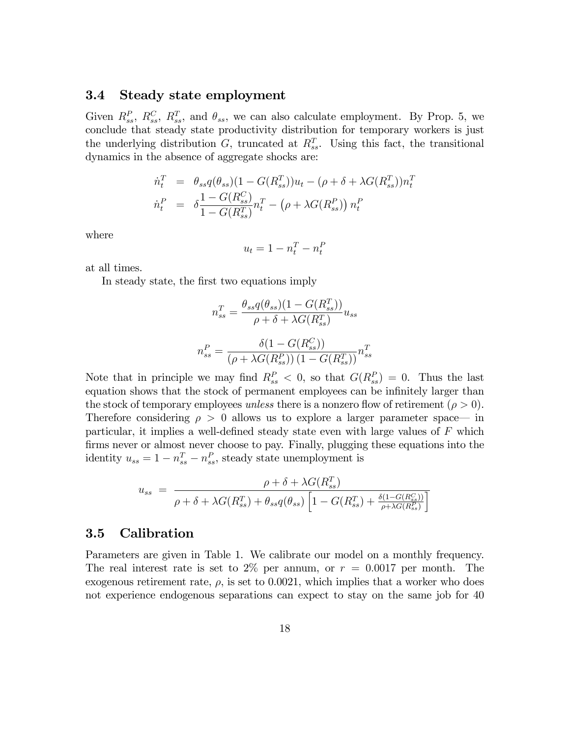#### 3.4 Steady state employment

Given  $R_{ss}^P$ ,  $R_{ss}^C$ ,  $R_{ss}^T$ , and  $\theta_{ss}$ , we can also calculate employment. By Prop. 5, we conclude that steady state productivity distribution for temporary workers is just the underlying distribution  $G$ , truncated at  $R_{ss}^T$ . Using this fact, the transitional dynamics in the absence of aggregate shocks are:

$$
\dot{n}_t^T = \theta_{ss} q(\theta_{ss}) (1 - G(R_{ss}^T)) u_t - (\rho + \delta + \lambda G(R_{ss}^T)) n_t^T \n\dot{n}_t^P = \delta \frac{1 - G(R_{ss}^C)}{1 - G(R_{ss}^T)} n_t^T - (\rho + \lambda G(R_{ss}^P)) n_t^P
$$

where

$$
u_t = 1 - n_t^T - n_t^F
$$

at all times.

In steady state, the Örst two equations imply

$$
n_{ss}^{T} = \frac{\theta_{ss}q(\theta_{ss})(1 - G(R_{ss}^{T}))}{\rho + \delta + \lambda G(R_{ss}^{T})} u_{ss}
$$

$$
n_{ss}^{P} = \frac{\delta(1 - G(R_{ss}^{C}))}{(\rho + \lambda G(R_{ss}^{P})) (1 - G(R_{ss}^{T}))} n_{ss}^{T}
$$

Note that in principle we may find  $R_{ss}^P < 0$ , so that  $G(R_{ss}^P) = 0$ . Thus the last equation shows that the stock of permanent employees can be infinitely larger than the stock of temporary employees unless there is a nonzero flow of retirement ( $\rho > 0$ ). Therefore considering  $\rho > 0$  allows us to explore a larger parameter space— in particular, it implies a well-defined steady state even with large values of  $F$  which firms never or almost never choose to pay. Finally, plugging these equations into the identity  $u_{ss} = 1 - n_{ss}^T - n_{ss}^P$ , steady state unemployment is

$$
u_{ss} = \frac{\rho + \delta + \lambda G(R_{ss}^T)}{\rho + \delta + \lambda G(R_{ss}^T) + \theta_{ss}q(\theta_{ss})\left[1 - G(R_{ss}^T) + \frac{\delta(1 - G(R_{ss}^C))}{\rho + \lambda G(R_{ss}^T)}\right]}
$$

### 3.5 Calibration

Parameters are given in Table 1. We calibrate our model on a monthly frequency. The real interest rate is set to 2\% per annum, or  $r = 0.0017$  per month. The exogenous retirement rate,  $\rho$ , is set to 0.0021, which implies that a worker who does not experience endogenous separations can expect to stay on the same job for 40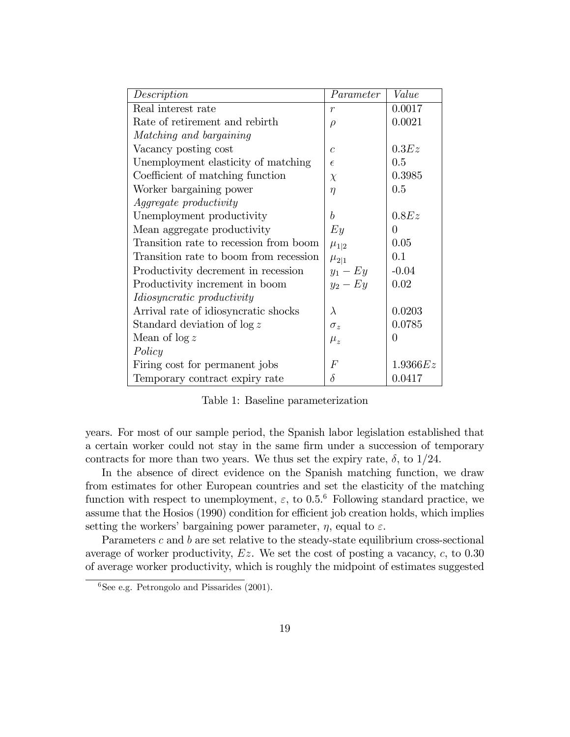| Description                            | Parameter        | Value    |
|----------------------------------------|------------------|----------|
| Real interest rate                     | $\boldsymbol{r}$ | 0.0017   |
| Rate of retirement and rebirth         | $\rho$           | 0.0021   |
| Matching and bargaining                |                  |          |
| Vacancy posting cost                   | $\mathcal{C}$    | 0.3Ez    |
| Unemployment elasticity of matching    | $\epsilon$       | 0.5      |
| Coefficient of matching function       | $\chi$           | 0.3985   |
| Worker bargaining power                | $\eta$           | 0.5      |
| <i>Aggregate productivity</i>          |                  |          |
| Unemployment productivity              | b                | 0.8Ez    |
| Mean aggregate productivity            | $E_{y}$          | 0        |
| Transition rate to recession from boom | $\mu_{1 2}$      | 0.05     |
| Transition rate to boom from recession | $\mu_{2 1}$      | 0.1      |
| Productivity decrement in recession    | $y_1 - Ey$       | $-0.04$  |
| Productivity increment in boom         | $y_2 - Ey$       | 0.02     |
| Idiosyncratic productivity             |                  |          |
| Arrival rate of idiosyncratic shocks   | $\lambda$        | 0.0203   |
| Standard deviation of $\log z$         | $\sigma_z$       | 0.0785   |
| Mean of $\log z$                       | $\mu_{z}$        | 0        |
| Policy                                 |                  |          |
| Firing cost for permanent jobs         | $\,F$            | 1.9366Ez |
| Temporary contract expiry rate         | $\delta$         | 0.0417   |

Table 1: Baseline parameterization

years. For most of our sample period, the Spanish labor legislation established that a certain worker could not stay in the same firm under a succession of temporary contracts for more than two years. We thus set the expiry rate,  $\delta$ , to 1/24.

In the absence of direct evidence on the Spanish matching function, we draw from estimates for other European countries and set the elasticity of the matching function with respect to unemployment,  $\varepsilon$ , to 0.5.<sup>6</sup> Following standard practice, we assume that the Hosios (1990) condition for efficient job creation holds, which implies setting the workers' bargaining power parameter,  $\eta$ , equal to  $\varepsilon$ .

Parameters  $c$  and  $b$  are set relative to the steady-state equilibrium cross-sectional average of worker productivity,  $Ez$ . We set the cost of posting a vacancy,  $c$ , to 0.30 of average worker productivity, which is roughly the midpoint of estimates suggested

 ${}^{6}$ See e.g. Petrongolo and Pissarides (2001).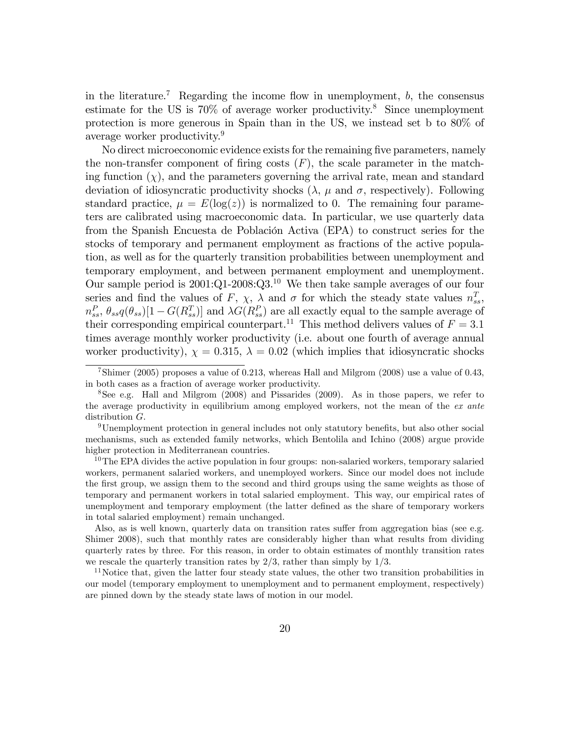in the literature.<sup>7</sup> Regarding the income flow in unemployment,  $b$ , the consensus estimate for the US is  $70\%$  of average worker productivity.<sup>8</sup> Since unemployment protection is more generous in Spain than in the US, we instead set b to 80% of average worker productivity.<sup>9</sup>

No direct microeconomic evidence exists for the remaining Öve parameters, namely the non-transfer component of firing costs  $(F)$ , the scale parameter in the matching function  $(\chi)$ , and the parameters governing the arrival rate, mean and standard deviation of idiosyncratic productivity shocks  $(\lambda, \mu \text{ and } \sigma, \text{ respectively})$ . Following standard practice,  $\mu = E(\log(z))$  is normalized to 0. The remaining four parameters are calibrated using macroeconomic data. In particular, we use quarterly data from the Spanish Encuesta de Población Activa (EPA) to construct series for the stocks of temporary and permanent employment as fractions of the active population, as well as for the quarterly transition probabilities between unemployment and temporary employment, and between permanent employment and unemployment. Our sample period is  $2001:Q1-2008:Q3<sup>10</sup>$  We then take sample averages of our four series and find the values of F,  $\chi$ ,  $\lambda$  and  $\sigma$  for which the steady state values  $n_{ss}^T$ ,  $n_{ss}^P$ ,  $\theta_{ss}q(\theta_{ss})[1-G(R_{ss}^T)]$  and  $\lambda G(R_{ss}^P)$  are all exactly equal to the sample average of their corresponding empirical counterpart.<sup>11</sup> This method delivers values of  $F = 3.1$ times average monthly worker productivity (i.e. about one fourth of average annual worker productivity),  $\chi = 0.315$ ,  $\lambda = 0.02$  (which implies that idiosyncratic shocks

<sup>7</sup>Shimer (2005) proposes a value of 0.213, whereas Hall and Milgrom (2008) use a value of 0.43, in both cases as a fraction of average worker productivity.

<sup>8</sup>See e.g. Hall and Milgrom (2008) and Pissarides (2009). As in those papers, we refer to the average productivity in equilibrium among employed workers, not the mean of the ex ante distribution G.

 $9$ Unemployment protection in general includes not only statutory benefits, but also other social mechanisms, such as extended family networks, which Bentolila and Ichino (2008) argue provide higher protection in Mediterranean countries.

<sup>&</sup>lt;sup>10</sup>The EPA divides the active population in four groups: non-salaried workers, temporary salaried workers, permanent salaried workers, and unemployed workers. Since our model does not include the first group, we assign them to the second and third groups using the same weights as those of temporary and permanent workers in total salaried employment. This way, our empirical rates of unemployment and temporary employment (the latter defined as the share of temporary workers in total salaried employment) remain unchanged.

Also, as is well known, quarterly data on transition rates suffer from aggregation bias (see e.g. Shimer 2008), such that monthly rates are considerably higher than what results from dividing quarterly rates by three. For this reason, in order to obtain estimates of monthly transition rates we rescale the quarterly transition rates by  $2/3$ , rather than simply by  $1/3$ .

 $11$ Notice that, given the latter four steady state values, the other two transition probabilities in our model (temporary employment to unemployment and to permanent employment, respectively) are pinned down by the steady state laws of motion in our model.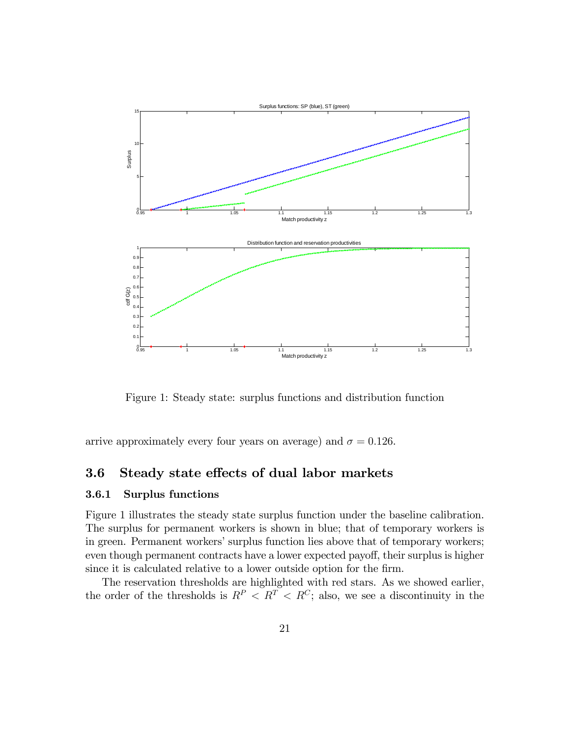

Figure 1: Steady state: surplus functions and distribution function

arrive approximately every four years on average) and  $\sigma = 0.126$ .

# 3.6 Steady state effects of dual labor markets

#### 3.6.1 Surplus functions

Figure 1 illustrates the steady state surplus function under the baseline calibration. The surplus for permanent workers is shown in blue; that of temporary workers is in green. Permanent workers' surplus function lies above that of temporary workers; even though permanent contracts have a lower expected payoff, their surplus is higher since it is calculated relative to a lower outside option for the firm.

The reservation thresholds are highlighted with red stars. As we showed earlier, the order of the thresholds is  $R^P \le R^T \le R^C$ ; also, we see a discontinuity in the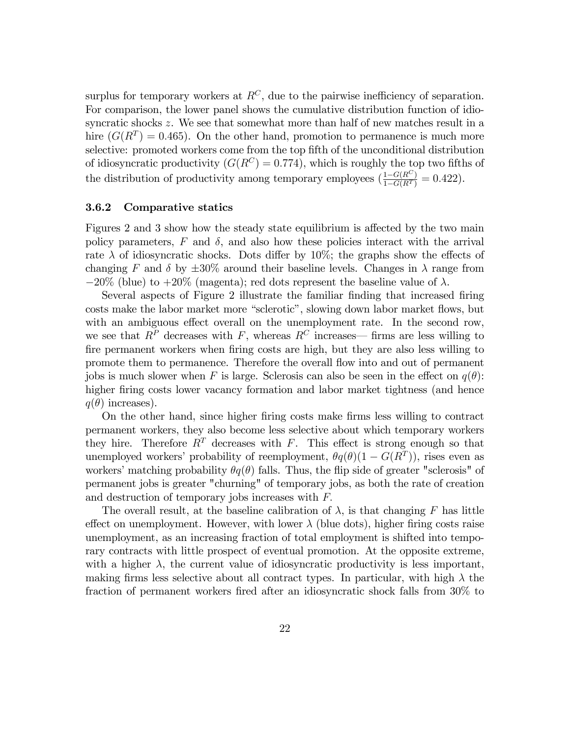surplus for temporary workers at  $R^C$ , due to the pairwise inefficiency of separation. For comparison, the lower panel shows the cumulative distribution function of idiosyncratic shocks z. We see that somewhat more than half of new matches result in a hire  $(G(R^T) = 0.465)$ . On the other hand, promotion to permanence is much more selective: promoted workers come from the top fifth of the unconditional distribution of idiosyncratic productivity  $(G(R^C) = 0.774)$ , which is roughly the top two fifths of the distribution of productivity among temporary employees  $(\frac{1-G(R^C)}{1-G(R^T)} = 0.422)$ .

#### 3.6.2 Comparative statics

Figures 2 and 3 show how the steady state equilibrium is affected by the two main policy parameters,  $F$  and  $\delta$ , and also how these policies interact with the arrival rate  $\lambda$  of idiosyncratic shocks. Dots differ by 10%; the graphs show the effects of changing F and  $\delta$  by  $\pm 30\%$  around their baseline levels. Changes in  $\lambda$  range from  $-20\%$  (blue) to  $+20\%$  (magenta); red dots represent the baseline value of  $\lambda$ .

Several aspects of Figure 2 illustrate the familiar Önding that increased Öring costs make the labor market more "sclerotic", slowing down labor market flows, but with an ambiguous effect overall on the unemployment rate. In the second row, we see that  $R^P$  decreases with F, whereas  $R^C$  increases—firms are less willing to fire permanent workers when firing costs are high, but they are also less willing to promote them to permanence. Therefore the overall flow into and out of permanent jobs is much slower when F is large. Sclerosis can also be seen in the effect on  $q(\theta)$ : higher firing costs lower vacancy formation and labor market tightness (and hence  $q(\theta)$  increases).

On the other hand, since higher Öring costs make Örms less willing to contract permanent workers, they also become less selective about which temporary workers they hire. Therefore  $R^T$  decreases with F. This effect is strong enough so that unemployed workers' probability of reemployment,  $\theta q(\theta)(1 - G(R^T))$ , rises even as workers' matching probability  $\theta q(\theta)$  falls. Thus, the flip side of greater "sclerosis" of permanent jobs is greater "churning" of temporary jobs, as both the rate of creation and destruction of temporary jobs increases with  $F$ .

The overall result, at the baseline calibration of  $\lambda$ , is that changing F has little effect on unemployment. However, with lower  $\lambda$  (blue dots), higher firing costs raise unemployment, as an increasing fraction of total employment is shifted into temporary contracts with little prospect of eventual promotion. At the opposite extreme, with a higher  $\lambda$ , the current value of idiosyncratic productivity is less important, making firms less selective about all contract types. In particular, with high  $\lambda$  the fraction of permanent workers fired after an idiosyncratic shock falls from  $30\%$  to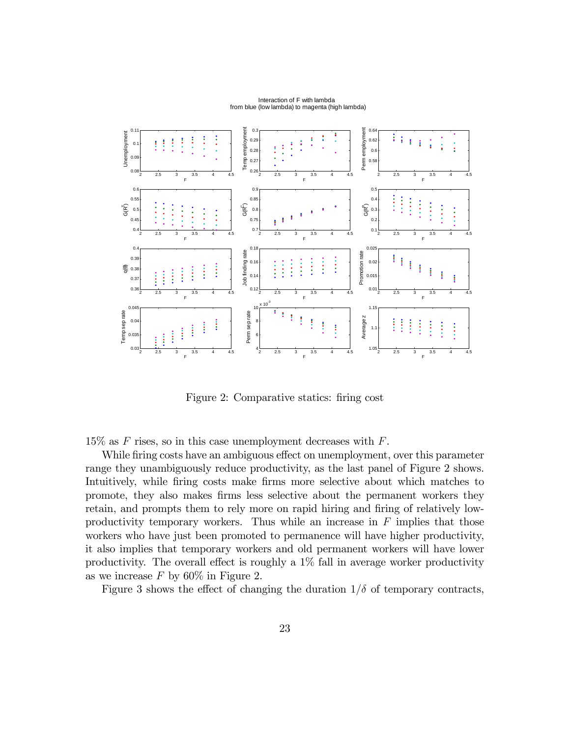

Figure 2: Comparative statics: firing cost

 $15\%$  as F rises, so in this case unemployment decreases with F.

While firing costs have an ambiguous effect on unemployment, over this parameter range they unambiguously reduce productivity, as the last panel of Figure 2 shows. Intuitively, while firing costs make firms more selective about which matches to promote, they also makes Örms less selective about the permanent workers they retain, and prompts them to rely more on rapid hiring and firing of relatively lowproductivity temporary workers. Thus while an increase in  $F$  implies that those workers who have just been promoted to permanence will have higher productivity, it also implies that temporary workers and old permanent workers will have lower productivity. The overall effect is roughly a  $1\%$  fall in average worker productivity as we increase  $F$  by 60% in Figure 2.

Figure 3 shows the effect of changing the duration  $1/\delta$  of temporary contracts,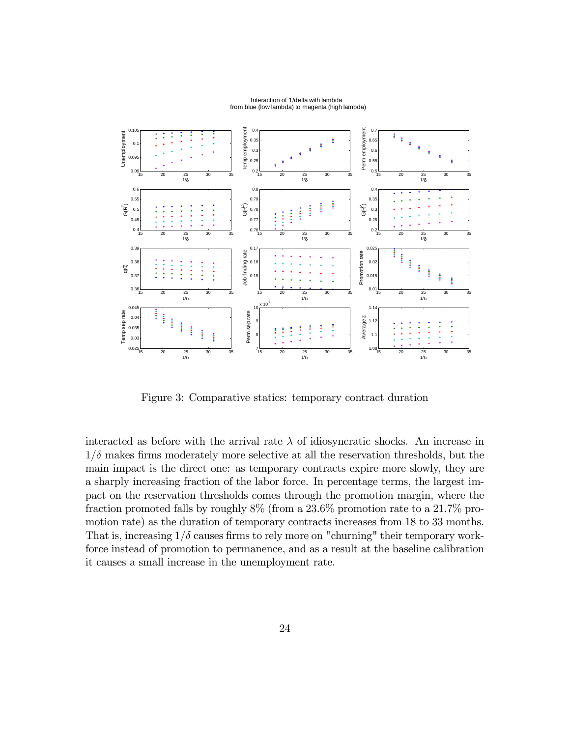

Figure 3: Comparative statics: temporary contract duration

interacted as before with the arrival rate  $\lambda$  of idiosyncratic shocks. An increase in  $1/\delta$  makes firms moderately more selective at all the reservation thresholds, but the main impact is the direct one: as temporary contracts expire more slowly, they are a sharply increasing fraction of the labor force. In percentage terms, the largest impact on the reservation thresholds comes through the promotion margin, where the fraction promoted falls by roughly 8% (from a 23.6% promotion rate to a 21.7% promotion rate) as the duration of temporary contracts increases from 18 to 33 months. That is, increasing  $1/\delta$  causes firms to rely more on "churning" their temporary workforce instead of promotion to permanence, and as a result at the baseline calibration it causes a small increase in the unemployment rate.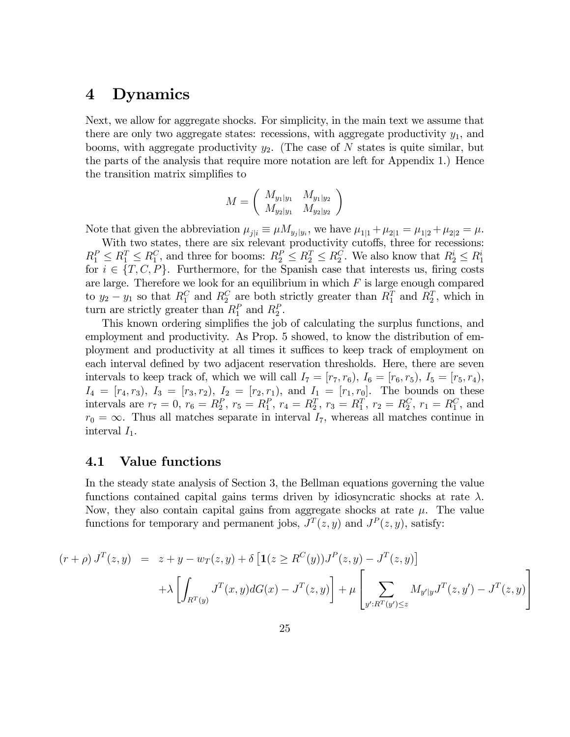# 4 Dynamics

Next, we allow for aggregate shocks. For simplicity, in the main text we assume that there are only two aggregate states: recessions, with aggregate productivity  $y_1$ , and booms, with aggregate productivity  $y_2$ . (The case of N states is quite similar, but the parts of the analysis that require more notation are left for Appendix 1.) Hence the transition matrix simplifies to

$$
M = \left(\begin{array}{cc} M_{y_1|y_1} & M_{y_1|y_2} \\ M_{y_2|y_1} & M_{y_2|y_2} \end{array}\right)
$$

Note that given the abbreviation  $\mu_{j|i} \equiv \mu M_{y_j|y_i}$ , we have  $\mu_{1|1} + \mu_{2|1} = \mu_{1|2} + \mu_{2|2} = \mu$ .

With two states, there are six relevant productivity cutoffs, three for recessions:  $R_1^P \leq R_1^T \leq R_1^C$ , and three for booms:  $R_2^P \leq R_2^T \leq R_2^C$ . We also know that  $R_2^i \leq R_1^i$ for  $i \in \{T, C, P\}$ . Furthermore, for the Spanish case that interests us, firing costs are large. Therefore we look for an equilibrium in which  $F$  is large enough compared to  $y_2 - y_1$  so that  $R_1^C$  and  $R_2^C$  are both strictly greater than  $R_1^T$  and  $R_2^T$ , which in turn are strictly greater than  $R_1^P$  and  $R_2^P$ .

This known ordering simplifies the job of calculating the surplus functions, and employment and productivity. As Prop. 5 showed, to know the distribution of employment and productivity at all times it suffices to keep track of employment on each interval defined by two adjacent reservation thresholds. Here, there are seven intervals to keep track of, which we will call  $I_7 = [r_7, r_6), I_6 = [r_6, r_5), I_5 = [r_5, r_4),$  $I_4 = [r_4, r_3), I_3 = [r_3, r_2), I_2 = [r_2, r_1), \text{ and } I_1 = [r_1, r_0].$  The bounds on these intervals are  $r_7 = 0$ ,  $r_6 = R_2^P$ ,  $r_5 = R_1^P$ ,  $r_4 = R_2^T$ ,  $r_3 = R_1^T$ ,  $r_2 = R_2^C$ ,  $r_1 = R_1^C$ , and  $r_0 = \infty$ . Thus all matches separate in interval  $I_7$ , whereas all matches continue in interval  $I_1$ .

## 4.1 Value functions

In the steady state analysis of Section 3, the Bellman equations governing the value functions contained capital gains terms driven by idiosyncratic shocks at rate  $\lambda$ . Now, they also contain capital gains from aggregate shocks at rate  $\mu$ . The value functions for temporary and permanent jobs,  $J<sup>T</sup>(z, y)$  and  $J<sup>P</sup>(z, y)$ , satisfy:

$$
(r+\rho) J^{T}(z,y) = z + y - w_{T}(z,y) + \delta \left[ \mathbf{1}(z \geq R^{C}(y)) J^{P}(z,y) - J^{T}(z,y) \right]
$$

$$
+ \lambda \left[ \int_{R^{T}(y)} J^{T}(x,y) dG(x) - J^{T}(z,y) \right] + \mu \left[ \sum_{y': R^{T}(y') \leq z} M_{y'|y} J^{T}(z,y') - J^{T}(z,y) \right]
$$

3

 $\mathbf{I}$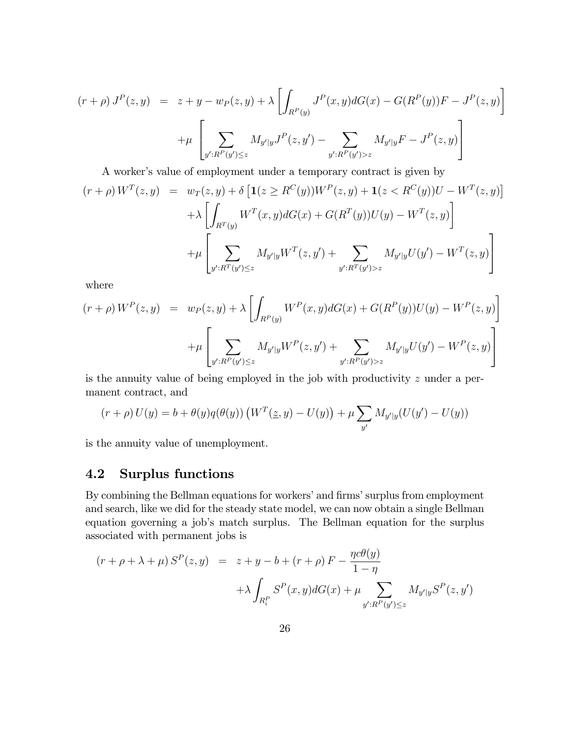$$
(r+\rho) J^{P}(z,y) = z + y - w_{P}(z,y) + \lambda \left[ \int_{R^{P}(y)} J^{P}(x,y) dG(x) - G(R^{P}(y))F - J^{P}(z,y) \right]
$$

$$
+ \mu \left[ \sum_{y':R^{P}(y') \leq z} M_{y'|y} J^{P}(z,y') - \sum_{y':R^{P}(y')>z} M_{y'|y} F - J^{P}(z,y) \right]
$$

A worker's value of employment under a temporary contract is given by

$$
(r+\rho) W^{T}(z,y) = w_{T}(z,y) + \delta \left[ \mathbf{1}(z \geq R^{C}(y)) W^{P}(z,y) + \mathbf{1}(z < R^{C}(y)) U - W^{T}(z,y) \right] + \lambda \left[ \int_{R^{T}(y)} W^{T}(x,y) dG(x) + G(R^{T}(y)) U(y) - W^{T}(z,y) \right] + \mu \left[ \sum_{y': R^{T}(y') \leq z} M_{y'|y} W^{T}(z,y') + \sum_{y': R^{T}(y') > z} M_{y'|y} U(y') - W^{T}(z,y) \right]
$$

where

$$
(r+\rho) W^{P}(z,y) = w_{P}(z,y) + \lambda \left[ \int_{R^{P}(y)} W^{P}(x,y) dG(x) + G(R^{P}(y))U(y) - W^{P}(z,y) \right]
$$

$$
+ \mu \left[ \sum_{y':R^{P}(y') \leq z} M_{y'|y} W^{P}(z,y') + \sum_{y':R^{P}(y')>z} M_{y'|y} U(y') - W^{P}(z,y) \right]
$$

is the annuity value of being employed in the job with productivity z under a permanent contract, and

$$
(r + \rho) U(y) = b + \theta(y) q(\theta(y)) (W^T(\underline{z}, y) - U(y)) + \mu \sum_{y'} M_{y'|y} (U(y') - U(y))
$$

is the annuity value of unemployment.

# 4.2 Surplus functions

By combining the Bellman equations for workers' and firms' surplus from employment and search, like we did for the steady state model, we can now obtain a single Bellman equation governing a job's match surplus. The Bellman equation for the surplus associated with permanent jobs is

$$
(r + \rho + \lambda + \mu) S^{P}(z, y) = z + y - b + (r + \rho) F - \frac{\eta c \theta(y)}{1 - \eta}
$$

$$
+ \lambda \int_{R_{i}^{P}} S^{P}(x, y) dG(x) + \mu \sum_{y': R^{P}(y') \le z} M_{y'|y} S^{P}(z, y')
$$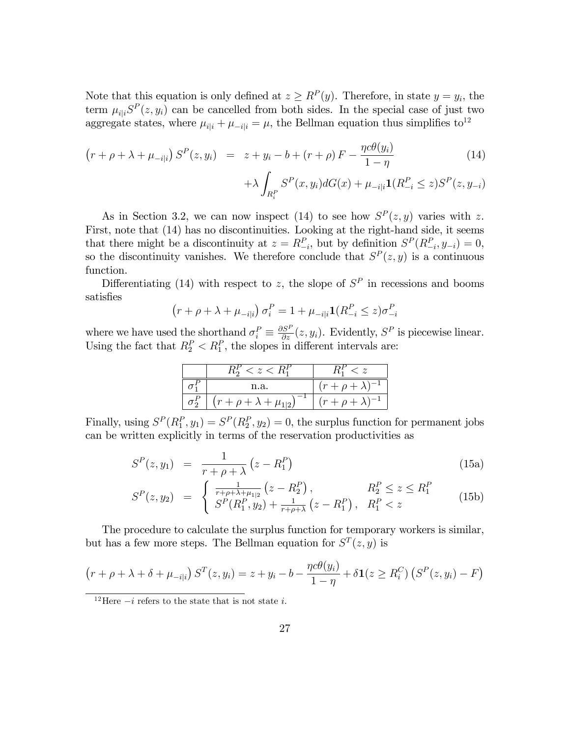Note that this equation is only defined at  $z \ge R^P(y)$ . Therefore, in state  $y = y_i$ , the term  $\mu_{i|i}S^P(z, y_i)$  can be cancelled from both sides. In the special case of just two aggregate states, where  $\mu_{i|i} + \mu_{-i|i} = \mu$ , the Bellman equation thus simplifies to<sup>12</sup>

$$
(r + \rho + \lambda + \mu_{-i|i}) S^{P}(z, y_i) = z + y_i - b + (r + \rho) F - \frac{\eta c \theta(y_i)}{1 - \eta}
$$
 (14)

$$
+\lambda \int_{R_i^P} S^P(x, y_i) dG(x) + \mu_{-i|i} \mathbf{1}(R_{-i}^P \le z) S^P(z, y_{-i})
$$

As in Section 3.2, we can now inspect (14) to see how  $S<sup>P</sup>(z, y)$  varies with z. First, note that (14) has no discontinuities. Looking at the right-hand side, it seems that there might be a discontinuity at  $z = R_{-i}^P$ , but by definition  $S^P(R_{-i}^P, y_{-i}) = 0$ ,  $\mu_{-i}$ , but by definition  $\beta$   $\mu_{-i}$ so the discontinuity vanishes. We therefore conclude that  $S<sup>P</sup>(z, y)$  is a continuous function.

Differentiating (14) with respect to z, the slope of  $S<sup>P</sup>$  in recessions and booms satisfies

$$
(r + \rho + \lambda + \mu_{-i|i}) \sigma_i^P = 1 + \mu_{-i|i} \mathbf{1}(R_{-i}^P \le z) \sigma_{-i}^P
$$

where we have used the shorthand  $\sigma_i^P \equiv \frac{\partial S^P}{\partial z}(z, y_i)$ . Evidently,  $S^P$  is piecewise linear. Using the fact that  $R_2^P < R_1^P$ , the slopes in different intervals are:

| $< z < R_1^r$                      |                        |
|------------------------------------|------------------------|
| n.a.                               | $r + \rho + \lambda$   |
| $(r + \rho + \lambda + \mu_{1 2})$ | $(r + \rho + \lambda)$ |

Finally, using  $S^P(R_1^P, y_1) = S^P(R_2^P, y_2) = 0$ , the surplus function for permanent jobs can be written explicitly in terms of the reservation productivities as

$$
S^{P}(z, y_{1}) = \frac{1}{r + \rho + \lambda} (z - R_{1}^{P})
$$
\n(15a)

$$
S^{P}(z, y_{2}) = \begin{cases} \frac{1}{r + \rho + \lambda + \mu_{1|2}} \left( z - R_{2}^{P} \right), & R_{2}^{P} \leq z \leq R_{1}^{P} \\ S^{P}(R_{1}^{P}, y_{2}) + \frac{1}{r + \rho + \lambda} \left( z - R_{1}^{P} \right), & R_{1}^{P} < z \end{cases}
$$
(15b)

The procedure to calculate the surplus function for temporary workers is similar, but has a few more steps. The Bellman equation for  $S<sup>T</sup>(z, y)$  is

$$
(r + \rho + \lambda + \delta + \mu_{-i|i}) S^{T}(z, y_{i}) = z + y_{i} - b - \frac{\eta c \theta(y_{i})}{1 - \eta} + \delta \mathbf{1}(z \ge R_{i}^{C}) (S^{P}(z, y_{i}) - F)
$$

<sup>&</sup>lt;sup>12</sup>Here  $-i$  refers to the state that is not state *i*.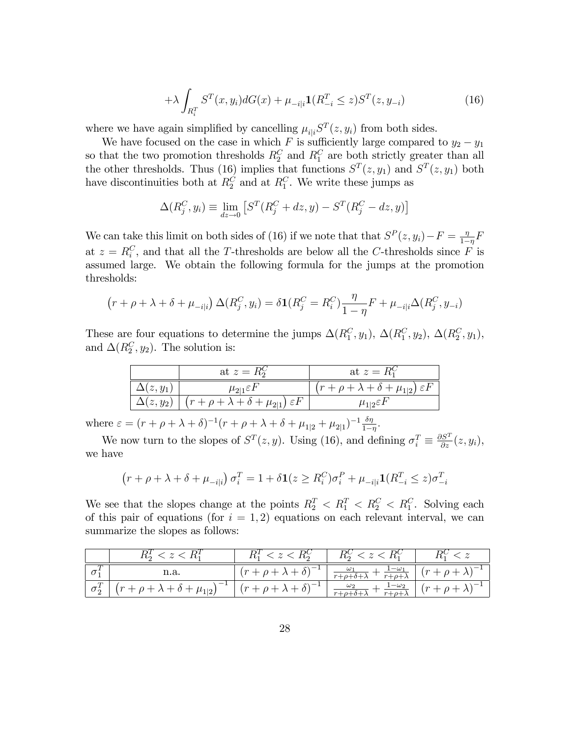$$
+\lambda \int_{R_i^T} S^T(x, y_i) dG(x) + \mu_{-i|i} \mathbf{1}(R_{-i}^T \le z) S^T(z, y_{-i})
$$
\n(16)

where we have again simplified by cancelling  $\mu_{i|i}S^{T}(z, y_{i})$  from both sides.

We have focused on the case in which F is sufficiently large compared to  $y_2 - y_1$ so that the two promotion thresholds  $R_2^C$  and  $R_1^C$  are both strictly greater than all the other thresholds. Thus (16) implies that functions  $S<sup>T</sup>(z, y<sub>1</sub>)$  and  $S<sup>T</sup>(z, y<sub>1</sub>)$  both have discontinuities both at  $R_2^C$  and at  $R_1^C$ . We write these jumps as

$$
\Delta(R_j^C, y_i) \equiv \lim_{dz \to 0} \left[ S^T(R_j^C + dz, y) - S^T(R_j^C - dz, y) \right]
$$

We can take this limit on both sides of (16) if we note that that  $S^P(z, y_i) - F = \frac{\eta}{1-\eta}$  $\frac{\eta}{1-\eta}F$ at  $z = R_i^C$ , and that all the T-thresholds are below all the C-thresholds since F is assumed large. We obtain the following formula for the jumps at the promotion thresholds:

$$
(r + \rho + \lambda + \delta + \mu_{-i|i}) \Delta(R_j^C, y_i) = \delta \mathbf{1}(R_j^C = R_i^C) \frac{\eta}{1 - \eta} F + \mu_{-i|i} \Delta(R_j^C, y_{-i})
$$

These are four equations to determine the jumps  $\Delta(R_1^C, y_1)$ ,  $\Delta(R_1^C, y_2)$ ,  $\Delta(R_2^C, y_1)$ , and  $\Delta(R_2^C, y_2)$ . The solution is:

|                 | at $z = R_2^C$                                                               | at $z = R_1^C$                                            |  |
|-----------------|------------------------------------------------------------------------------|-----------------------------------------------------------|--|
| $\Delta(z,y_1)$ | $\mu_{2 1} \varepsilon F$                                                    | $(r + \rho + \lambda + \delta + \mu_{1 2}) \varepsilon F$ |  |
|                 | $\Delta(z,y_2) \mid (r + \rho + \lambda + \delta + \mu_{2 1}) \varepsilon F$ | $\mu_{1 2} \varepsilon F$                                 |  |

where  $\varepsilon = (r + \rho + \lambda + \delta)^{-1} (r + \rho + \lambda + \delta + \mu_{1|2} + \mu_{2|1})^{-1} \frac{\delta \eta}{1 - \delta}$  $\frac{\delta \eta}{1-\eta}$ .

We now turn to the slopes of  $S<sup>T</sup>(z, y)$ . Using (16), and defining  $\sigma_i^T \equiv \frac{\partial S^T}{\partial z}(z, y_i)$ , we have

$$
(r + \rho + \lambda + \delta + \mu_{-i|i}) \sigma_i^T = 1 + \delta \mathbf{1}(z \ge R_i^C) \sigma_i^P + \mu_{-i|i} \mathbf{1}(R_{-i}^T \le z) \sigma_{-i}^T
$$

We see that the slopes change at the points  $R_2^T < R_1^T < R_2^C < R_1^C$ . Solving each of this pair of equations (for  $i = 1, 2$ ) equations on each relevant interval, we can summarize the slopes as follows:

|              | $R_2^T < z < R_1^T$                                                                                                      | $R_1^T < z < R_2^C$                           | $R_2^C < z < R_1^C$                                                                                           |  |
|--------------|--------------------------------------------------------------------------------------------------------------------------|-----------------------------------------------|---------------------------------------------------------------------------------------------------------------|--|
| $\sigma_1^T$ | n.a.                                                                                                                     | $\left[ (r+\rho+\lambda+\delta)^{-1} \right]$ | $\left[\frac{\omega_1}{r+\rho+\delta+\lambda}+\frac{1-\omega_1}{r+\rho+\lambda}\right] (r+\rho+\lambda)^{-1}$ |  |
|              | $\left[\begin{array}{c c} \sigma_2^T & \sigma_1^T & \end{array}\right]\left(r+\rho+\lambda+\delta+\mu_{1 2}\right)^{-1}$ | $\int (r+\rho+\lambda+\delta)^{-1}$           | $\frac{\omega_2}{r+\rho+\delta+\lambda}+\frac{1-\omega_2}{r+\rho+\lambda}\left[(r+\rho+\lambda)^{-1}\right]$  |  |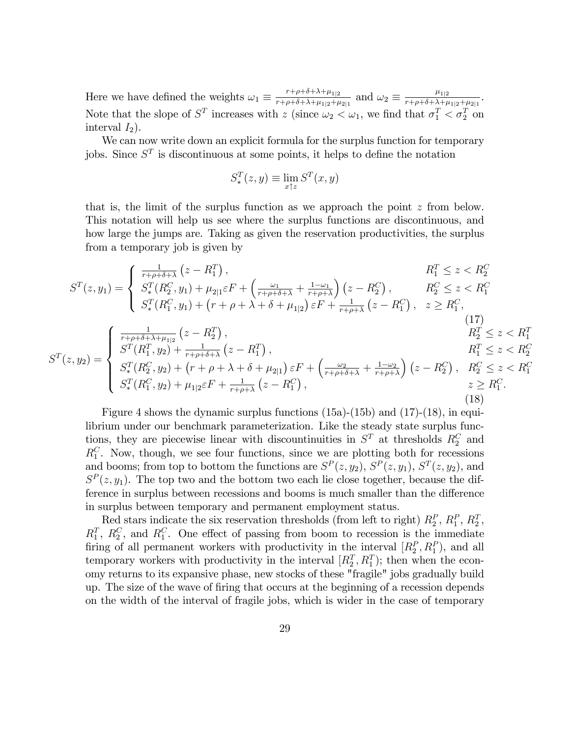Here we have defined the weights  $\omega_1 \equiv \frac{r+\rho+\delta+\lambda+\mu_{1|2}}{r+\rho+\delta+\lambda+\mu_{1|2}+\mu}$  $\frac{r+\rho+\delta+\lambda+\mu_{1|2}}{r+\rho+\delta+\lambda+\mu_{1|2}+\mu_{2|1}}$  and  $\omega_2 \equiv \frac{\mu_{1|2}}{r+\rho+\delta+\lambda+\mu_{1|2}}$  $\frac{\mu_{1|2}}{r+\rho+\delta+\lambda+\mu_{1|2}+\mu_{2|1}}.$ Note that the slope of  $S^T$  increases with z (since  $\omega_2 < \omega_1$ , we find that  $\sigma_1^T < \sigma_2^T$  on interval  $I_2$ ).

We can now write down an explicit formula for the surplus function for temporary jobs. Since  $S<sup>T</sup>$  is discontinuous at some points, it helps to define the notation

$$
S_*^T(z, y) \equiv \lim_{x \uparrow z} S^T(x, y)
$$

that is, the limit of the surplus function as we approach the point  $z$  from below. This notation will help us see where the surplus functions are discontinuous, and how large the jumps are. Taking as given the reservation productivities, the surplus from a temporary job is given by

$$
S^{T}(z, y_{1}) = \begin{cases} \frac{1}{r+\rho+\delta+\lambda} (z - R_{1}^{T}), & R_{1}^{T} \leq z < R_{2}^{C} \\ S_{*}^{T}(R_{2}^{C}, y_{1}) + \mu_{2|1} \varepsilon F + \left(\frac{\omega_{1}}{r+\rho+\delta+\lambda} + \frac{1-\omega_{1}}{r+\rho+\lambda}\right) (z - R_{2}^{C}), & R_{2}^{C} \leq z < R_{1}^{C} \\ S_{*}^{T}(R_{1}^{C}, y_{1}) + (r+\rho+\lambda+\delta+\mu_{1|2}) \varepsilon F + \frac{1}{r+\rho+\lambda} (z - R_{1}^{C}), & z \geq R_{1}^{C}, \end{cases}
$$
\n
$$
\left(\begin{array}{c}\frac{1}{r+\rho+\delta+\lambda+\mu_{1|2}} (z - R_{2}^{T}), & R_{2}^{T} \leq z < R_{1}^{T} \\ \frac{1}{r+\rho+\delta+\lambda+\mu_{1|2}} (z - R_{2}^{T}), & R_{2}^{T} \leq z < R_{1}^{T} \end{array}\right)
$$

$$
S^{T}(z,y_{2}) = \begin{cases} \n\frac{r+\rho+\delta+\lambda+\mu_{1|2}}{S^{T}(R_{1}^{T},y_{2})+\frac{1}{r+\rho+\delta+\lambda}}\left(z-R_{1}^{T}\right), & R_{1}^{T} \leq z < R_{2}^{C} \\
S_{*}^{T}(R_{2}^{C},y_{2})+\left(r+\rho+\lambda+\delta+\mu_{2|1}\right)\varepsilon F+\left(\frac{\omega_{2}}{r+\rho+\delta+\lambda}+\frac{1-\omega_{2}}{r+\rho+\lambda}\right)\left(z-R_{2}^{C}\right), & R_{2}^{C} \leq z < R_{1}^{C} \\
S_{*}^{T}(R_{1}^{C},y_{2})+\mu_{1|2}\varepsilon F+\frac{1}{r+\rho+\lambda}\left(z-R_{1}^{C}\right), & z \geq R_{1}^{C}.\n\end{cases}
$$
\n(18)

Figure 4 shows the dynamic surplus functions  $(15a)-(15b)$  and  $(17)-(18)$ , in equilibrium under our benchmark parameterization. Like the steady state surplus functions, they are piecewise linear with discountinuities in  $S<sup>T</sup>$  at thresholds  $R_2^C$  and  $R_1^C$ . Now, though, we see four functions, since we are plotting both for recessions and booms; from top to bottom the functions are  $S^P(z, y_2)$ ,  $S^P(z, y_1)$ ,  $S^T(z, y_2)$ , and  $S<sup>P</sup>(z, y<sub>1</sub>)$ . The top two and the bottom two each lie close together, because the difference in surplus between recessions and booms is much smaller than the difference in surplus between temporary and permanent employment status.

Red stars indicate the six reservation thresholds (from left to right)  $R_2^P$ ,  $R_1^P$ ,  $R_2^T$ ,  $R_1^T$ ,  $R_2^C$ , and  $R_1^C$ . One effect of passing from boom to recession is the immediate firing of all permanent workers with productivity in the interval  $[R_2^P, R_1^P)$ , and all temporary workers with productivity in the interval  $[R_2^T, R_1^T]$ ; then when the economy returns to its expansive phase, new stocks of these "fragile" jobs gradually build up. The size of the wave of Öring that occurs at the beginning of a recession depends on the width of the interval of fragile jobs, which is wider in the case of temporary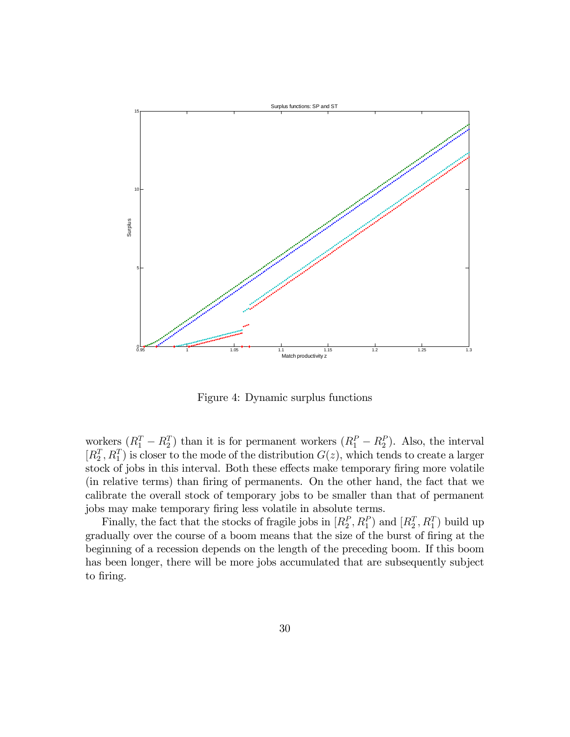

Figure 4: Dynamic surplus functions

workers  $(R_1^T - R_2^T)$  than it is for permanent workers  $(R_1^P - R_2^P)$ . Also, the interval  $[R_2^T, R_1^T]$  is closer to the mode of the distribution  $G(z)$ , which tends to create a larger stock of jobs in this interval. Both these effects make temporary firing more volatile (in relative terms) than Öring of permanents. On the other hand, the fact that we calibrate the overall stock of temporary jobs to be smaller than that of permanent jobs may make temporary firing less volatile in absolute terms.

Finally, the fact that the stocks of fragile jobs in  $[R_2^P, R_1^P]$  and  $[R_2^T, R_1^T]$  build up gradually over the course of a boom means that the size of the burst of firing at the beginning of a recession depends on the length of the preceding boom. If this boom has been longer, there will be more jobs accumulated that are subsequently subject to firing.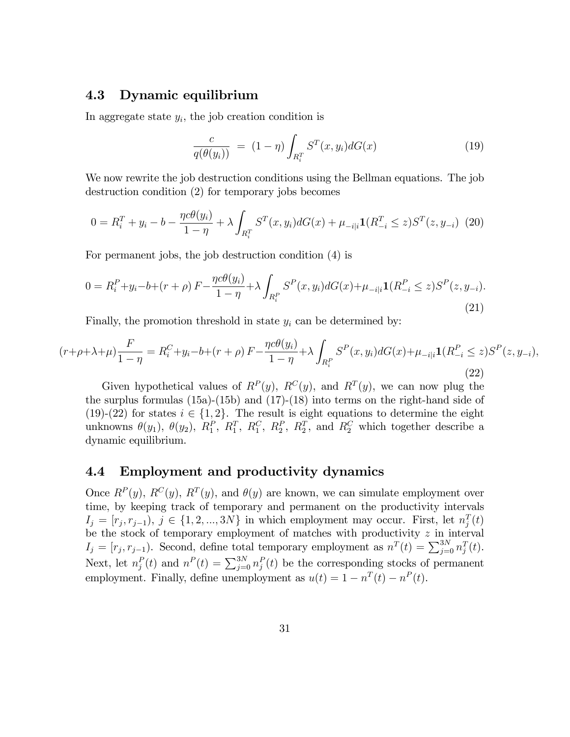### 4.3 Dynamic equilibrium

In aggregate state  $y_i$ , the job creation condition is

$$
\frac{c}{q(\theta(y_i))} = (1 - \eta) \int_{R_i^T} S^T(x, y_i) dG(x) \tag{19}
$$

We now rewrite the job destruction conditions using the Bellman equations. The job destruction condition (2) for temporary jobs becomes

$$
0 = R_i^T + y_i - b - \frac{\eta c \theta(y_i)}{1 - \eta} + \lambda \int_{R_i^T} S^T(x, y_i) dG(x) + \mu_{-i|i} \mathbf{1}(R_{-i}^T \le z) S^T(z, y_{-i}) \tag{20}
$$

For permanent jobs, the job destruction condition (4) is

$$
0 = R_i^P + y_i - b + (r + \rho) F - \frac{\eta c \theta(y_i)}{1 - \eta} + \lambda \int_{R_i^P} S^P(x, y_i) dG(x) + \mu_{-i|i} \mathbf{1}(R_{-i}^P \le z) S^P(z, y_{-i}).
$$
\n(21)

Finally, the promotion threshold in state  $y_i$  can be determined by:

$$
(r+\rho+\lambda+\mu)\frac{F}{1-\eta} = R_i^C + y_i - b + (r+\rho) F - \frac{\eta c \theta(y_i)}{1-\eta} + \lambda \int_{R_i^P} S^P(x, y_i) dG(x) + \mu_{-i|i} \mathbf{1}(R_{-i}^P \le z) S^P(z, y_{-i}),
$$
\n(22)

Given hypothetical values of  $R^P(y)$ ,  $R^C(y)$ , and  $R^T(y)$ , we can now plug the the surplus formulas (15a)-(15b) and (17)-(18) into terms on the right-hand side of (19)-(22) for states  $i \in \{1, 2\}$ . The result is eight equations to determine the eight unknowns  $\theta(y_1)$ ,  $\theta(y_2)$ ,  $R_1^P$ ,  $R_1^T$ ,  $R_2^C$ ,  $R_2^P$ ,  $R_2^T$ , and  $R_2^C$  which together describe a dynamic equilibrium.

### 4.4 Employment and productivity dynamics

Once  $R^{P}(y)$ ,  $R^{C}(y)$ ,  $R^{T}(y)$ , and  $\theta(y)$  are known, we can simulate employment over time, by keeping track of temporary and permanent on the productivity intervals  $I_j = [r_j, r_{j-1}), j \in \{1, 2, ..., 3N\}$  in which employment may occur. First, let  $n_j^T(t)$ be the stock of temporary employment of matches with productivity  $z$  in interval  $I_j = [r_j, r_{j-1})$ . Second, define total temporary employment as  $n^T(t) = \sum_{j=0}^{3N} n_j^T(t)$ . Next, let  $n_j^P(t)$  and  $n^P(t) = \sum_{j=0}^{3N} n_j^P(t)$  be the corresponding stocks of permanent employment. Finally, define unemployment as  $u(t) = 1 - n^T(t) - n^P(t)$ .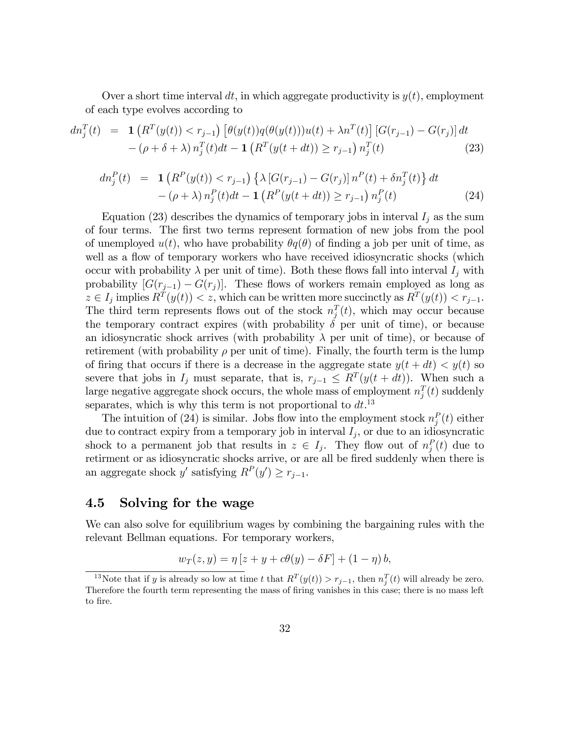Over a short time interval dt, in which aggregate productivity is  $y(t)$ , employment of each type evolves according to

$$
dn_j^T(t) = \mathbf{1} \left( R^T(y(t)) < r_{j-1} \right) \left[ \theta(y(t)) q(\theta(y(t))) u(t) + \lambda n^T(t) \right] \left[ G(r_{j-1}) - G(r_j) \right] dt - (\rho + \delta + \lambda) n_j^T(t) dt - \mathbf{1} \left( R^T(y(t+dt)) \ge r_{j-1} \right) n_j^T(t) \tag{23}
$$

$$
dn_j^P(t) = \mathbf{1} \left( R^P(y(t)) < r_{j-1} \right) \left\{ \lambda \left[ G(r_{j-1}) - G(r_j) \right] n^P(t) + \delta n_j^T(t) \right\} dt - (\rho + \lambda) n_j^P(t) dt - \mathbf{1} \left( R^P(y(t+dt)) \ge r_{j-1} \right) n_j^P(t) \tag{24}
$$

Equation (23) describes the dynamics of temporary jobs in interval  $I_j$  as the sum of four terms. The first two terms represent formation of new jobs from the pool of unemployed  $u(t)$ , who have probability  $\theta q(\theta)$  of finding a job per unit of time, as well as a flow of temporary workers who have received idiosyncratic shocks (which occur with probability  $\lambda$  per unit of time). Both these flows fall into interval  $I_j$  with probability  $[G(r_{j-1}) - G(r_j)]$ . These flows of workers remain employed as long as  $z \in I_j$  implies  $R^T(y(t)) < z$ , which can be written more succinctly as  $R^T(y(t)) < r_{j-1}$ . The third term represents flows out of the stock  $n_j^T(t)$ , which may occur because the temporary contract expires (with probability  $\delta$  per unit of time), or because an idiosyncratic shock arrives (with probability  $\lambda$  per unit of time), or because of retirement (with probability  $\rho$  per unit of time). Finally, the fourth term is the lump of firing that occurs if there is a decrease in the aggregate state  $y(t + dt) < y(t)$  so severe that jobs in  $I_j$  must separate, that is,  $r_{j-1} \leq R^T(y(t + dt))$ . When such a large negative aggregate shock occurs, the whole mass of employment  $n_j^T(t)$  suddenly separates, which is why this term is not proportional to  $dt$ <sup>13</sup>

The intuition of (24) is similar. Jobs flow into the employment stock  $n_j^P(t)$  either due to contract expiry from a temporary job in interval  $I_j$ , or due to an idiosyncratic shock to a permanent job that results in  $z \in I_j$ . They flow out of  $n_j^P(t)$  due to retirment or as idiosyncratic shocks arrive, or are all be fired suddenly when there is an aggregate shock y' satisfying  $R^P(y') \ge r_{j-1}$ .

# 4.5 Solving for the wage

We can also solve for equilibrium wages by combining the bargaining rules with the relevant Bellman equations. For temporary workers,

$$
w_T(z, y) = \eta [z + y + c\theta(y) - \delta F] + (1 - \eta) b,
$$

<sup>&</sup>lt;sup>13</sup>Note that if y is already so low at time t that  $R^T(y(t)) > r_{j-1}$ , then  $n_j^T(t)$  will already be zero. Therefore the fourth term representing the mass of firing vanishes in this case; there is no mass left to fire.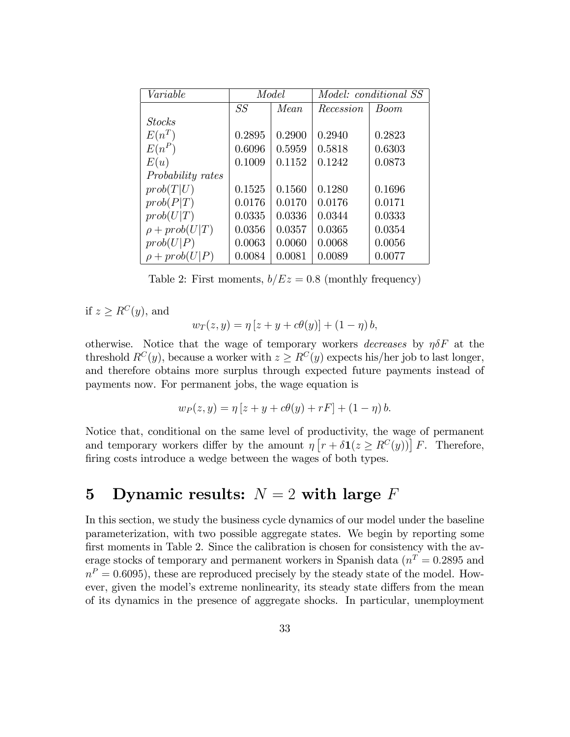| Variable                 | Model  |        | <i>Model: conditional SS</i> |        |
|--------------------------|--------|--------|------------------------------|--------|
|                          | SS     | Mean   | Recession                    | Boom   |
| <b>Stocks</b>            |        |        |                              |        |
| $E(n^T)$                 | 0.2895 | 0.2900 | 0.2940                       | 0.2823 |
| $E(n^P)$                 | 0.6096 | 0.5959 | 0.5818                       | 0.6303 |
| E(u)                     | 0.1009 | 0.1152 | 0.1242                       | 0.0873 |
| <i>Probability rates</i> |        |        |                              |        |
| prob(T U)                | 0.1525 | 0.1560 | 0.1280                       | 0.1696 |
| prob(P T)                | 0.0176 | 0.0170 | 0.0176                       | 0.0171 |
| prob(U T)                | 0.0335 | 0.0336 | 0.0344                       | 0.0333 |
| $\rho + prob(U T)$       | 0.0356 | 0.0357 | 0.0365                       | 0.0354 |
| prob(U P)                | 0.0063 | 0.0060 | 0.0068                       | 0.0056 |
| $\rho + prob(U P)$       | 0.0084 | 0.0081 | 0.0089                       | 0.0077 |

Table 2: First moments,  $b/Ez = 0.8$  (monthly frequency)

if  $z \ge R^C(y)$ , and

$$
w_T(z, y) = \eta [z + y + c\theta(y)] + (1 - \eta) b,
$$

otherwise. Notice that the wage of temporary workers *decreases* by  $\eta \delta F$  at the threshold  $R^{C}(y)$ , because a worker with  $z \geq R^{C}(y)$  expects his/her job to last longer, and therefore obtains more surplus through expected future payments instead of payments now. For permanent jobs, the wage equation is

$$
w_P(z, y) = \eta [z + y + c\theta(y) + rF] + (1 - \eta) b.
$$

Notice that, conditional on the same level of productivity, the wage of permanent and temporary workers differ by the amount  $\eta \left[ r + \delta \mathbf{1}(z \geq R^{C}(y)) \right] F$ . Therefore, firing costs introduce a wedge between the wages of both types.

# 5 Dynamic results:  $N = 2$  with large F

In this section, we study the business cycle dynamics of our model under the baseline parameterization, with two possible aggregate states. We begin by reporting some first moments in Table 2. Since the calibration is chosen for consistency with the average stocks of temporary and permanent workers in Spanish data  $(n<sup>T</sup> = 0.2895$  and  $n<sup>P</sup> = 0.6095$ , these are reproduced precisely by the steady state of the model. However, given the model's extreme nonlinearity, its steady state differs from the mean of its dynamics in the presence of aggregate shocks. In particular, unemployment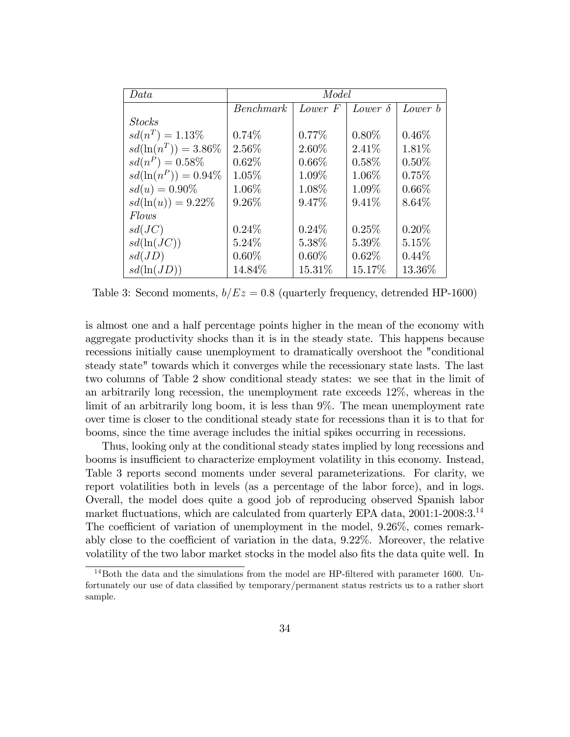| Data                    | Model     |          |                |          |
|-------------------------|-----------|----------|----------------|----------|
|                         | Benchmark | Lower F  | Lower $\delta$ | Lower b  |
| <b>Stocks</b>           |           |          |                |          |
| $sd(n^T) = 1.13\%$      | 0.74%     | $0.77\%$ | $0.80\%$       | $0.46\%$ |
| $sd(\ln(n^T)) = 3.86\%$ | 2.56%     | 2.60%    | 2.41%          | 1.81%    |
| $sd(n^P) = 0.58\%$      | $0.62\%$  | $0.66\%$ | $0.58\%$       | $0.50\%$ |
| $sd(\ln(n^P)) = 0.94\%$ | $1.05\%$  | 1.09%    | 1.06%          | 0.75%    |
| $sd(u) = 0.90\%$        | $1.06\%$  | 1.08\%   | $1.09\%$       | $0.66\%$ |
| $sd(\ln(u)) = 9.22\%$   | $9.26\%$  | 9.47%    | $9.41\%$       | 8.64\%   |
| Flows                   |           |          |                |          |
| sd(JC)                  | $0.24\%$  | $0.24\%$ | 0.25%          | $0.20\%$ |
| $sd(\ln(JC))$           | $5.24\%$  | 5.38%    | $5.39\%$       | 5.15%    |
| sd(JD)                  | $0.60\%$  | $0.60\%$ | $0.62\%$       | $0.44\%$ |
| $sd(\ln(JD))$           | 14.84%    | 15.31\%  | 15.17%         | 13.36\%  |

Table 3: Second moments,  $b/Ez = 0.8$  (quarterly frequency, detrended HP-1600)

is almost one and a half percentage points higher in the mean of the economy with aggregate productivity shocks than it is in the steady state. This happens because recessions initially cause unemployment to dramatically overshoot the "conditional steady state" towards which it converges while the recessionary state lasts. The last two columns of Table 2 show conditional steady states: we see that in the limit of an arbitrarily long recession, the unemployment rate exceeds 12%, whereas in the limit of an arbitrarily long boom, it is less than 9%. The mean unemployment rate over time is closer to the conditional steady state for recessions than it is to that for booms, since the time average includes the initial spikes occurring in recessions.

Thus, looking only at the conditional steady states implied by long recessions and booms is insufficient to characterize employment volatility in this economy. Instead, Table 3 reports second moments under several parameterizations. For clarity, we report volatilities both in levels (as a percentage of the labor force), and in logs. Overall, the model does quite a good job of reproducing observed Spanish labor market fluctuations, which are calculated from quarterly EPA data,  $2001:1-2008:3.^{14}$ The coefficient of variation of unemployment in the model, 9.26%, comes remarkably close to the coefficient of variation in the data,  $9.22\%$ . Moreover, the relative volatility of the two labor market stocks in the model also fits the data quite well. In

 $14$ Both the data and the simulations from the model are HP-filtered with parameter 1600. Unfortunately our use of data classified by temporary/permanent status restricts us to a rather short sample.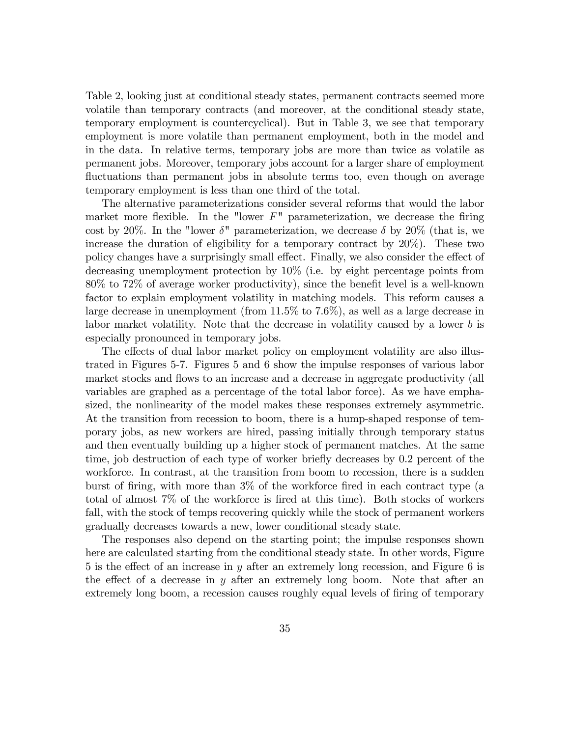Table 2, looking just at conditional steady states, permanent contracts seemed more volatile than temporary contracts (and moreover, at the conditional steady state, temporary employment is countercyclical). But in Table 3, we see that temporary employment is more volatile than permanent employment, both in the model and in the data. In relative terms, temporary jobs are more than twice as volatile as permanent jobs. Moreover, temporary jobs account for a larger share of employment fluctuations than permanent jobs in absolute terms too, even though on average temporary employment is less than one third of the total.

The alternative parameterizations consider several reforms that would the labor market more flexible. In the "lower  $F$ " parameterization, we decrease the firing cost by 20%. In the "lower  $\delta$ " parameterization, we decrease  $\delta$  by 20% (that is, we increase the duration of eligibility for a temporary contract by 20%). These two policy changes have a surprisingly small effect. Finally, we also consider the effect of decreasing unemployment protection by 10% (i.e. by eight percentage points from  $80\%$  to  $72\%$  of average worker productivity), since the benefit level is a well-known factor to explain employment volatility in matching models. This reform causes a large decrease in unemployment (from 11.5% to 7.6%), as well as a large decrease in labor market volatility. Note that the decrease in volatility caused by a lower b is especially pronounced in temporary jobs.

The effects of dual labor market policy on employment volatility are also illustrated in Figures 5-7. Figures 5 and 6 show the impulse responses of various labor market stocks and flows to an increase and a decrease in aggregate productivity (all variables are graphed as a percentage of the total labor force). As we have emphasized, the nonlinearity of the model makes these responses extremely asymmetric. At the transition from recession to boom, there is a hump-shaped response of temporary jobs, as new workers are hired, passing initially through temporary status and then eventually building up a higher stock of permanent matches. At the same time, job destruction of each type of worker briefly decreases by 0.2 percent of the workforce. In contrast, at the transition from boom to recession, there is a sudden burst of firing, with more than  $3\%$  of the workforce fired in each contract type (a total of almost 7\% of the workforce is fired at this time). Both stocks of workers fall, with the stock of temps recovering quickly while the stock of permanent workers gradually decreases towards a new, lower conditional steady state.

The responses also depend on the starting point; the impulse responses shown here are calculated starting from the conditional steady state. In other words, Figure 5 is the effect of an increase in y after an extremely long recession, and Figure 6 is the effect of a decrease in y after an extremely long boom. Note that after an extremely long boom, a recession causes roughly equal levels of firing of temporary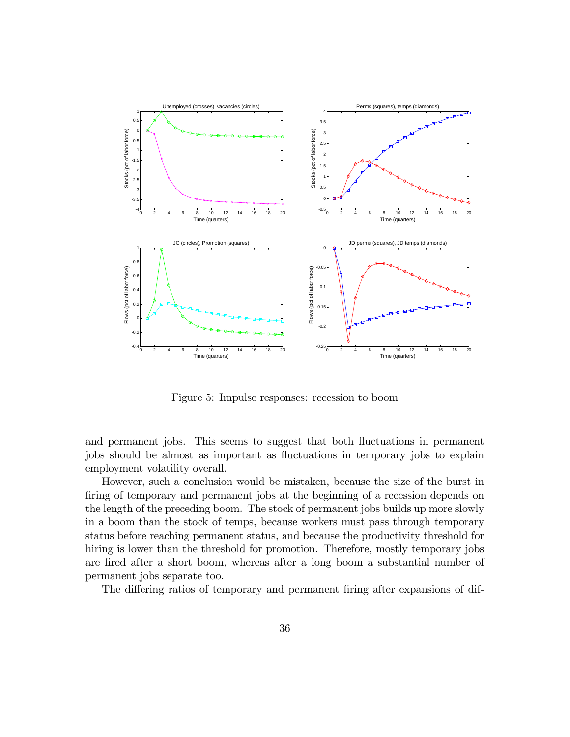

Figure 5: Impulse responses: recession to boom

and permanent jobs. This seems to suggest that both fluctuations in permanent jobs should be almost as important as fluctuations in temporary jobs to explain employment volatility overall.

However, such a conclusion would be mistaken, because the size of the burst in firing of temporary and permanent jobs at the beginning of a recession depends on the length of the preceding boom. The stock of permanent jobs builds up more slowly in a boom than the stock of temps, because workers must pass through temporary status before reaching permanent status, and because the productivity threshold for hiring is lower than the threshold for promotion. Therefore, mostly temporary jobs are fired after a short boom, whereas after a long boom a substantial number of permanent jobs separate too.

The differing ratios of temporary and permanent firing after expansions of dif-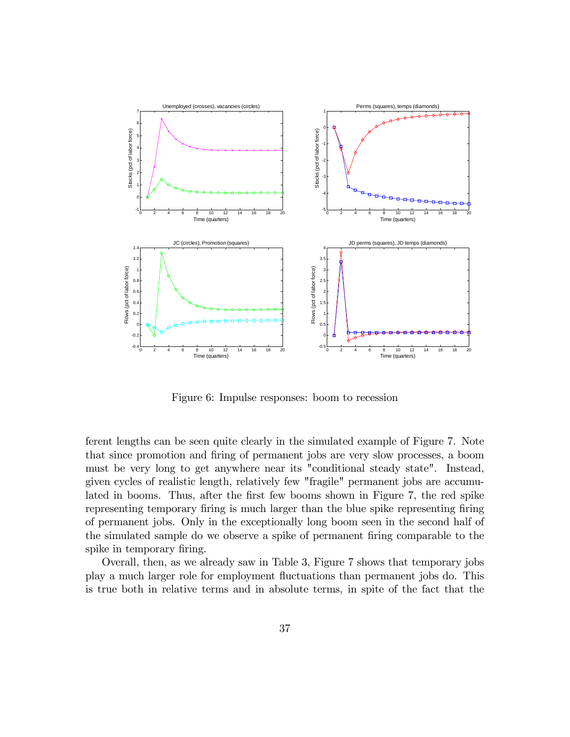

Figure 6: Impulse responses: boom to recession

ferent lengths can be seen quite clearly in the simulated example of Figure 7. Note that since promotion and firing of permanent jobs are very slow processes, a boom must be very long to get anywhere near its "conditional steady state". Instead, given cycles of realistic length, relatively few "fragile" permanent jobs are accumulated in booms. Thus, after the first few booms shown in Figure 7, the red spike representing temporary firing is much larger than the blue spike representing firing of permanent jobs. Only in the exceptionally long boom seen in the second half of the simulated sample do we observe a spike of permanent firing comparable to the spike in temporary firing.

Overall, then, as we already saw in Table 3, Figure 7 shows that temporary jobs play a much larger role for employment áuctuations than permanent jobs do. This is true both in relative terms and in absolute terms, in spite of the fact that the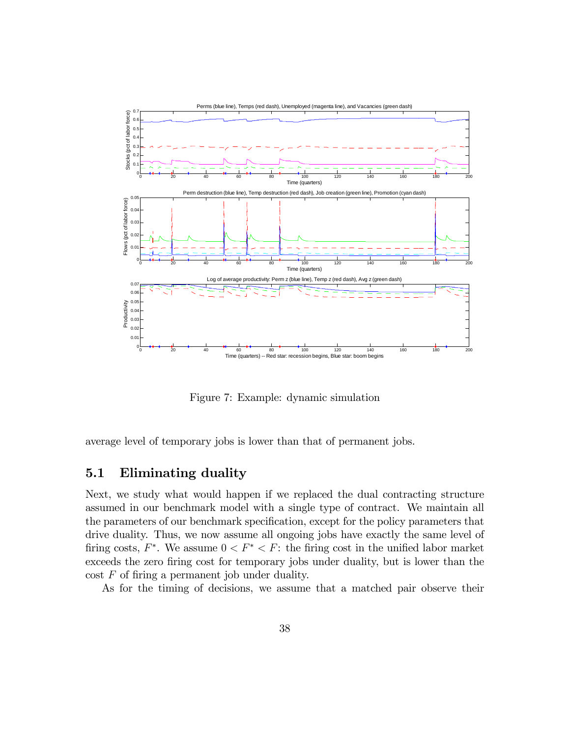

Figure 7: Example: dynamic simulation

average level of temporary jobs is lower than that of permanent jobs.

# 5.1 Eliminating duality

Next, we study what would happen if we replaced the dual contracting structure assumed in our benchmark model with a single type of contract. We maintain all the parameters of our benchmark specification, except for the policy parameters that drive duality. Thus, we now assume all ongoing jobs have exactly the same level of firing costs,  $F^*$ . We assume  $0 < F^* < F$ : the firing cost in the unified labor market exceeds the zero firing cost for temporary jobs under duality, but is lower than the  $\text{cost } F$  of firing a permanent job under duality.

As for the timing of decisions, we assume that a matched pair observe their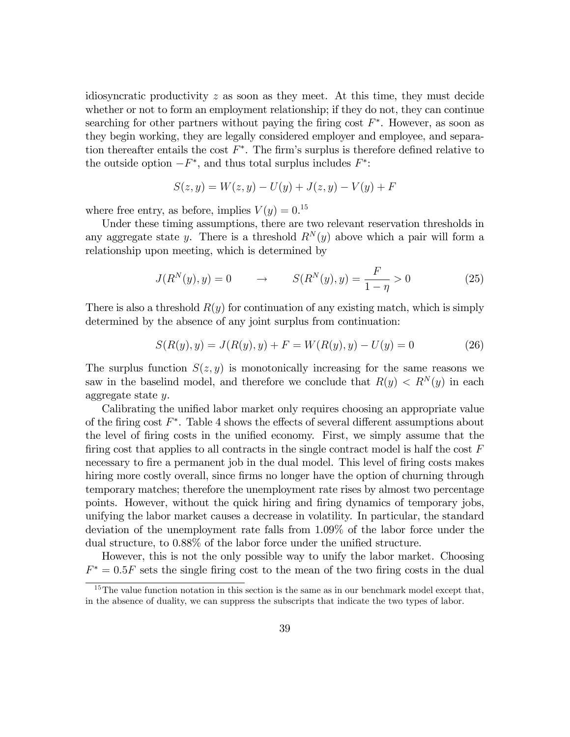idiosyncratic productivity z as soon as they meet. At this time, they must decide whether or not to form an employment relationship; if they do not, they can continue searching for other partners without paying the firing cost  $F^*$ . However, as soon as they begin working, they are legally considered employer and employee, and separation thereafter entails the cost  $F^*$ . The firm's surplus is therefore defined relative to the outside option  $-F^*$ , and thus total surplus includes  $F^*$ :

$$
S(z, y) = W(z, y) - U(y) + J(z, y) - V(y) + F
$$

where free entry, as before, implies  $V(y) = 0.15$ 

Under these timing assumptions, there are two relevant reservation thresholds in any aggregate state y. There is a threshold  $R^{N}(y)$  above which a pair will form a relationship upon meeting, which is determined by

$$
J(R^{N}(y), y) = 0 \qquad \to \qquad S(R^{N}(y), y) = \frac{F}{1 - \eta} > 0 \tag{25}
$$

There is also a threshold  $R(y)$  for continuation of any existing match, which is simply determined by the absence of any joint surplus from continuation:

$$
S(R(y), y) = J(R(y), y) + F = W(R(y), y) - U(y) = 0
$$
\n(26)

The surplus function  $S(z, y)$  is monotonically increasing for the same reasons we saw in the baselind model, and therefore we conclude that  $R(y) < R^{N}(y)$  in each aggregate state y.

Calibrating the unified labor market only requires choosing an appropriate value of the firing cost  $F^*$ . Table 4 shows the effects of several different assumptions about the level of firing costs in the unified economy. First, we simply assume that the firing cost that applies to all contracts in the single contract model is half the cost  $F$ necessary to fire a permanent job in the dual model. This level of firing costs makes hiring more costly overall, since firms no longer have the option of churning through temporary matches; therefore the unemployment rate rises by almost two percentage points. However, without the quick hiring and Öring dynamics of temporary jobs, unifying the labor market causes a decrease in volatility. In particular, the standard deviation of the unemployment rate falls from 1.09% of the labor force under the dual structure, to  $0.88\%$  of the labor force under the unified structure.

However, this is not the only possible way to unify the labor market. Choosing  $F^* = 0.5F$  sets the single firing cost to the mean of the two firing costs in the dual

 $15$ The value function notation in this section is the same as in our benchmark model except that, in the absence of duality, we can suppress the subscripts that indicate the two types of labor.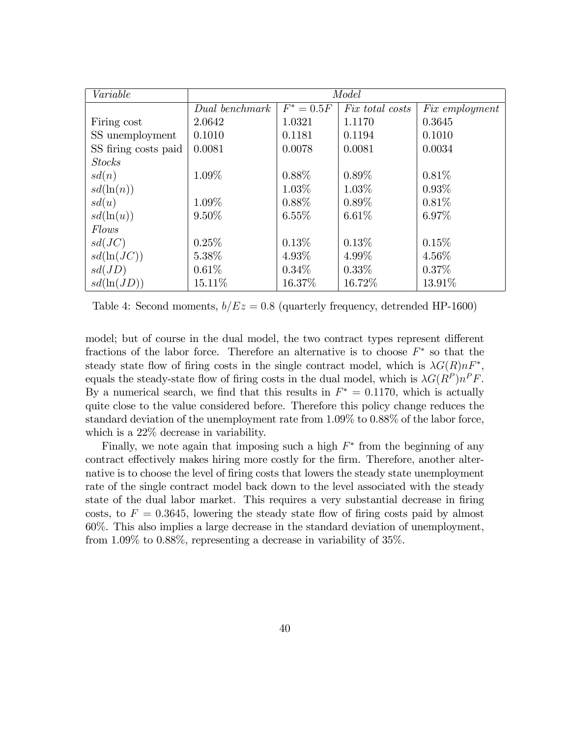| Variable             | Model          |              |                        |                       |
|----------------------|----------------|--------------|------------------------|-----------------------|
|                      | Dual benchmark | $F^* = 0.5F$ | <i>Fix total costs</i> | <i>Fix employment</i> |
| Firing cost          | 2.0642         | 1.0321       | 1.1170                 | 0.3645                |
| SS unemployment      | 0.1010         | 0.1181       | 0.1194                 | 0.1010                |
| SS firing costs paid | 0.0081         | 0.0078       | 0.0081                 | 0.0034                |
| <b>Stocks</b>        |                |              |                        |                       |
| sd(n)                | 1.09%          | $0.88\%$     | $0.89\%$               | 0.81%                 |
| $sd(\ln(n))$         |                | $1.03\%$     | 1.03%                  | $0.93\%$              |
| sd(u)                | 1.09%          | $0.88\%$     | $0.89\%$               | 0.81%                 |
| $sd(\ln(u))$         | $9.50\%$       | $6.55\%$     | 6.61%                  | 6.97%                 |
| <i>Flows</i>         |                |              |                        |                       |
| sd(JC)               | 0.25%          | 0.13%        | 0.13%                  | 0.15%                 |
| $sd(\ln(JC))$        | 5.38%          | $4.93\%$     | $4.99\%$               | $4.56\%$              |
| sd(JD)               | 0.61%          | $0.34\%$     | $0.33\%$               | $0.37\%$              |
| $sd(\ln(JD))$        | 15.11\%        | 16.37%       | 16.72%                 | 13.91%                |

Table 4: Second moments,  $b/Ez = 0.8$  (quarterly frequency, detrended HP-1600)

model; but of course in the dual model, the two contract types represent different fractions of the labor force. Therefore an alternative is to choose  $F^*$  so that the steady state flow of firing costs in the single contract model, which is  $\lambda G(R)nF^*$ , equals the steady-state flow of firing costs in the dual model, which is  $\lambda G(R^P)n^P F$ . By a numerical search, we find that this results in  $F^* = 0.1170$ , which is actually quite close to the value considered before. Therefore this policy change reduces the standard deviation of the unemployment rate from 1.09% to 0.88% of the labor force, which is a 22% decrease in variability.

Finally, we note again that imposing such a high  $F^*$  from the beginning of any contract effectively makes hiring more costly for the firm. Therefore, another alternative is to choose the level of firing costs that lowers the steady state unemployment rate of the single contract model back down to the level associated with the steady state of the dual labor market. This requires a very substantial decrease in firing costs, to  $F = 0.3645$ , lowering the steady state flow of firing costs paid by almost 60%. This also implies a large decrease in the standard deviation of unemployment, from 1.09% to 0.88%, representing a decrease in variability of 35%.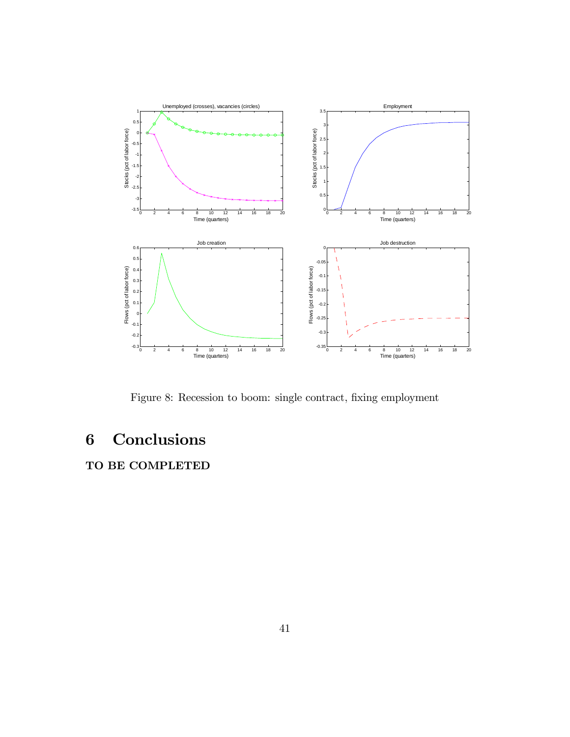

Figure 8: Recession to boom: single contract, fixing employment

# 6 Conclusions

TO BE COMPLETED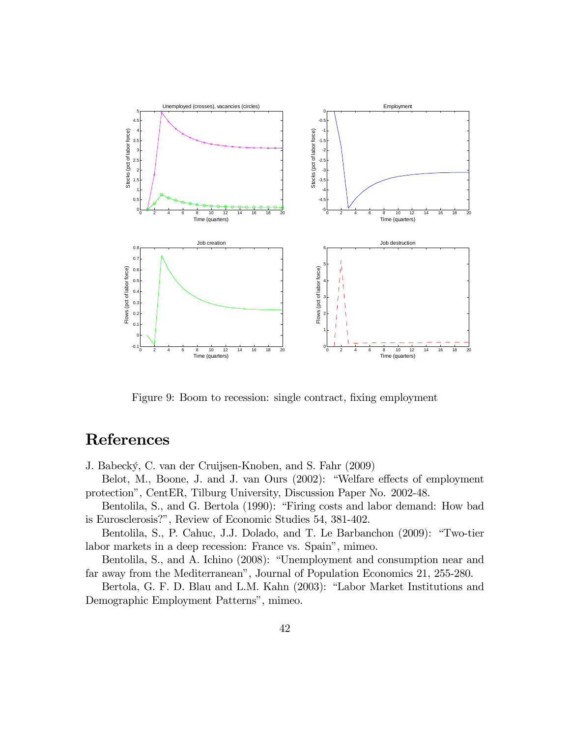

Figure 9: Boom to recession: single contract, fixing employment

# References

J. Babecký, C. van der Cruijsen-Knoben, and S. Fahr (2009)

Belot, M., Boone, J. and J. van Ours (2002): "Welfare effects of employment protectionî, CentER, Tilburg University, Discussion Paper No. 2002-48.

Bentolila, S., and G. Bertola (1990): "Firing costs and labor demand: How bad is Eurosclerosis?î, Review of Economic Studies 54, 381-402.

Bentolila, S., P. Cahuc, J.J. Dolado, and T. Le Barbanchon (2009): "Two-tier labor markets in a deep recession: France vs. Spain", mimeo.

Bentolila, S., and A. Ichino (2008): "Unemployment and consumption near and far away from the Mediterranean", Journal of Population Economics 21, 255-280.

Bertola, G. F. D. Blau and L.M. Kahn (2003): "Labor Market Institutions and Demographic Employment Patterns", mimeo.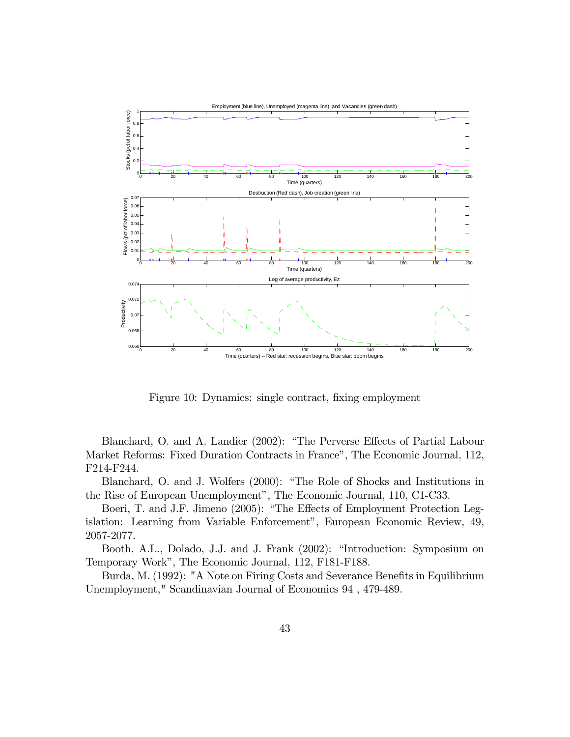

Figure 10: Dynamics: single contract, fixing employment

Blanchard, O. and A. Landier (2002): "The Perverse Effects of Partial Labour Market Reforms: Fixed Duration Contracts in France", The Economic Journal, 112, F214-F244.

Blanchard, O. and J. Wolfers (2000): "The Role of Shocks and Institutions in the Rise of European Unemployment", The Economic Journal, 110, C1-C33.

Boeri, T. and J.F. Jimeno (2005): "The Effects of Employment Protection Legislation: Learning from Variable Enforcement", European Economic Review, 49, 2057-2077.

Booth, A.L., Dolado, J.J. and J. Frank (2002): "Introduction: Symposium on Temporary Work", The Economic Journal, 112, F181-F188.

Burda, M. (1992): "A Note on Firing Costs and Severance Benefits in Equilibrium Unemployment," Scandinavian Journal of Economics 94 , 479-489.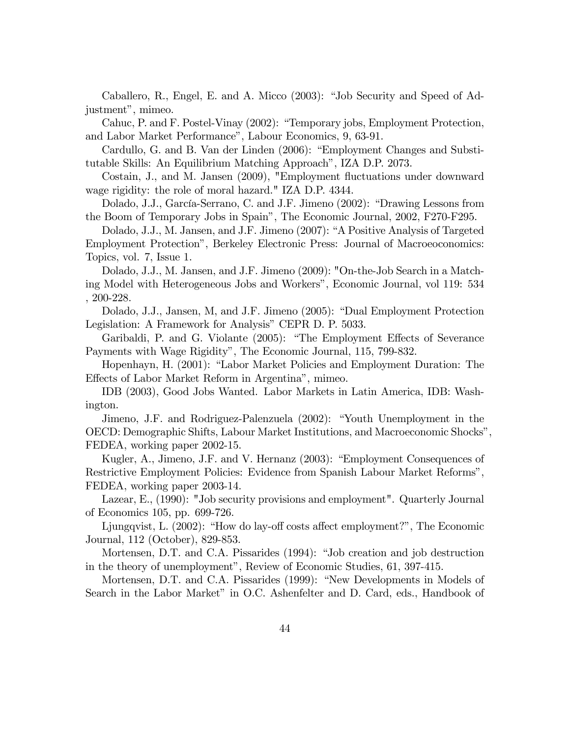Caballero, R., Engel, E. and A. Micco (2003): "Job Security and Speed of Adjustment", mimeo.

Cahuc, P. and F. Postel-Vinay (2002): "Temporary jobs, Employment Protection, and Labor Market Performance", Labour Economics, 9, 63-91.

Cardullo, G. and B. Van der Linden (2006): "Employment Changes and Substitutable Skills: An Equilibrium Matching Approach", IZA D.P. 2073.

Costain, J., and M. Jansen (2009), "Employment fluctuations under downward wage rigidity: the role of moral hazard." IZA D.P. 4344.

Dolado, J.J., García-Serrano, C. and J.F. Jimeno (2002): "Drawing Lessons from the Boom of Temporary Jobs in Spainî, The Economic Journal, 2002, F270-F295.

Dolado, J.J., M. Jansen, and J.F. Jimeno (2007): "A Positive Analysis of Targeted Employment Protectionî, Berkeley Electronic Press: Journal of Macroeoconomics: Topics, vol. 7, Issue 1.

Dolado, J.J., M. Jansen, and J.F. Jimeno (2009): "On-the-Job Search in a Matching Model with Heterogeneous Jobs and Workersî, Economic Journal, vol 119: 534 , 200-228.

Dolado, J.J., Jansen, M, and J.F. Jimeno (2005): "Dual Employment Protection Legislation: A Framework for Analysis" CEPR D. P. 5033.

Garibaldi, P. and G. Violante (2005): "The Employment Effects of Severance Payments with Wage Rigidityî, The Economic Journal, 115, 799-832.

Hopenhayn, H. (2001): "Labor Market Policies and Employment Duration: The Effects of Labor Market Reform in Argentina", mimeo.

IDB (2003), Good Jobs Wanted. Labor Markets in Latin America, IDB: Washington.

Jimeno, J.F. and Rodriguez-Palenzuela (2002): "Youth Unemployment in the OECD: Demographic Shifts, Labour Market Institutions, and Macroeconomic Shocksî, FEDEA, working paper 2002-15.

Kugler, A., Jimeno, J.F. and V. Hernanz (2003): "Employment Consequences of Restrictive Employment Policies: Evidence from Spanish Labour Market Reformsî, FEDEA, working paper 2003-14.

Lazear, E., (1990): "Job security provisions and employment". Quarterly Journal of Economics 105, pp. 699-726.

Ljungqvist, L.  $(2002)$ : "How do lay-off costs affect employment?", The Economic Journal, 112 (October), 829-853.

Mortensen, D.T. and C.A. Pissarides (1994): "Job creation and job destruction in the theory of unemployment", Review of Economic Studies, 61, 397-415.

Mortensen, D.T. and C.A. Pissarides (1999): "New Developments in Models of Search in the Labor Market" in O.C. Ashenfelter and D. Card, eds., Handbook of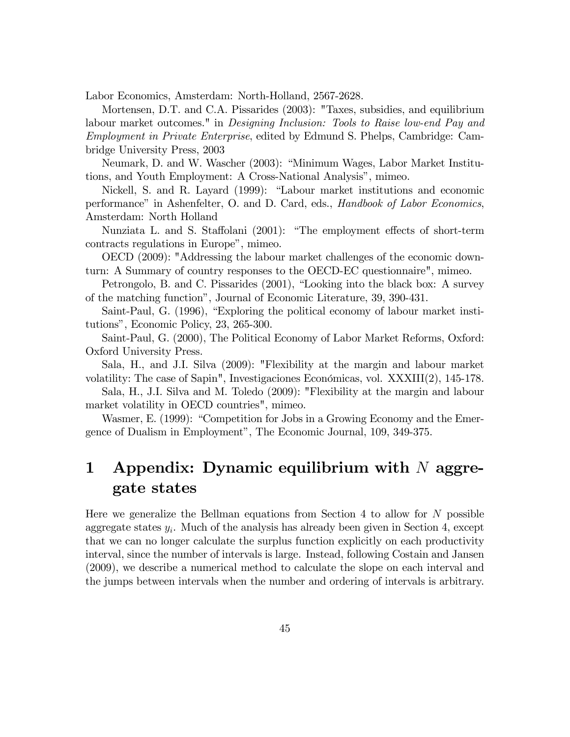Labor Economics, Amsterdam: North-Holland, 2567-2628.

Mortensen, D.T. and C.A. Pissarides (2003): "Taxes, subsidies, and equilibrium labour market outcomes." in *Designing Inclusion: Tools to Raise low-end Pay and* Employment in Private Enterprise, edited by Edmund S. Phelps, Cambridge: Cambridge University Press, 2003

Neumark, D. and W. Wascher (2003): "Minimum Wages, Labor Market Institutions, and Youth Employment: A Cross-National Analysis", mimeo.

Nickell, S. and R. Layard (1999): "Labour market institutions and economic performance" in Ashenfelter, O. and D. Card, eds., *Handbook of Labor Economics*, Amsterdam: North Holland

Nunziata L. and S. Staffolani (2001): "The employment effects of short-term contracts regulations in Europe", mimeo.

OECD (2009): "Addressing the labour market challenges of the economic downturn: A Summary of country responses to the OECD-EC questionnaire", mimeo.

Petrongolo, B. and C. Pissarides (2001), "Looking into the black box: A survey of the matching functionî, Journal of Economic Literature, 39, 390-431.

Saint-Paul, G. (1996), "Exploring the political economy of labour market institutionsî, Economic Policy, 23, 265-300.

Saint-Paul, G. (2000), The Political Economy of Labor Market Reforms, Oxford: Oxford University Press.

Sala, H., and J.I. Silva (2009): "Flexibility at the margin and labour market volatility: The case of Sapin", Investigaciones Económicas, vol. XXXIII(2), 145-178.

Sala, H., J.I. Silva and M. Toledo (2009): "Flexibility at the margin and labour market volatility in OECD countries", mimeo.

Wasmer, E. (1999): "Competition for Jobs in a Growing Economy and the Emergence of Dualism in Employment", The Economic Journal, 109, 349-375.

# 1 Appendix: Dynamic equilibrium with  $N$  aggregate states

Here we generalize the Bellman equations from Section 4 to allow for  $N$  possible aggregate states  $y_i$ . Much of the analysis has already been given in Section 4, except that we can no longer calculate the surplus function explicitly on each productivity interval, since the number of intervals is large. Instead, following Costain and Jansen (2009), we describe a numerical method to calculate the slope on each interval and the jumps between intervals when the number and ordering of intervals is arbitrary.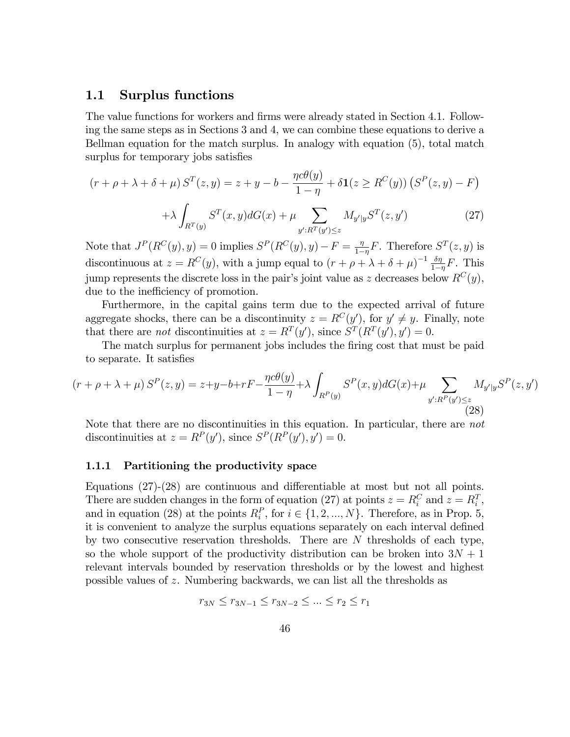### 1.1 Surplus functions

The value functions for workers and firms were already stated in Section 4.1. Following the same steps as in Sections 3 and 4, we can combine these equations to derive a Bellman equation for the match surplus. In analogy with equation (5), total match surplus for temporary jobs satisfies

$$
(r + \rho + \lambda + \delta + \mu) S^{T}(z, y) = z + y - b - \frac{\eta c \theta(y)}{1 - \eta} + \delta \mathbf{1}(z \ge R^{C}(y)) \left( S^{P}(z, y) - F \right)
$$

$$
+ \lambda \int_{\mathbb{T}^{r}(\mathbb{R})} S^{T}(x, y) dG(x) + \mu \sum M_{y'|y} S^{T}(z, y') \tag{27}
$$

 $y':R^T(y')\leq z$ Note that  $J^P(R^C(y), y) = 0$  implies  $S^P(R^C(y), y) - F = \frac{\eta}{1-\eta}$  $\frac{\eta}{1-\eta}F$ . Therefore  $S^T(z, y)$  is discontinuous at  $z = R^{C}(y)$ , with a jump equal to  $(r + \rho + \lambda + \delta + \mu)^{-1} \frac{\delta \eta}{1 - \delta}$  $\frac{\delta \eta}{1-\eta}F$ . This jump represents the discrete loss in the pair's joint value as z decreases below  $R^{C}(y)$ , due to the inefficiency of promotion.

Furthermore, in the capital gains term due to the expected arrival of future aggregate shocks, there can be a discontinuity  $z = R^{C}(y')$ , for  $y' \neq y$ . Finally, note that there are *not* discontinuities at  $z = R^T(y')$ , since  $S^T(R^T(y'), y') = 0$ .

The match surplus for permanent jobs includes the firing cost that must be paid to separate. It satisfies

$$
(r + \rho + \lambda + \mu) S^{P}(z, y) = z + y - b + rF - \frac{\eta c \theta(y)}{1 - \eta} + \lambda \int_{R^{P}(y)} S^{P}(x, y) dG(x) + \mu \sum_{y': R^{P}(y') \le z} M_{y'|y} S^{P}(z, y')
$$
\n(28)

Note that there are no discontinuities in this equation. In particular, there are not discontinuities at  $z = R^P(y')$ , since  $S^P(R^P(y'), y') = 0$ .

#### 1.1.1 Partitioning the productivity space

 $R^T(y)$ 

Equations  $(27)-(28)$  are continuous and differentiable at most but not all points. There are sudden changes in the form of equation (27) at points  $z = R_i^C$  and  $z = R_i^T$ , and in equation (28) at the points  $R_i^P$ , for  $i \in \{1, 2, ..., N\}$ . Therefore, as in Prop. 5, it is convenient to analyze the surplus equations separately on each interval defined by two consecutive reservation thresholds. There are N thresholds of each type, so the whole support of the productivity distribution can be broken into  $3N + 1$ relevant intervals bounded by reservation thresholds or by the lowest and highest possible values of z. Numbering backwards, we can list all the thresholds as

$$
r_{3N} \le r_{3N-1} \le r_{3N-2} \le \dots \le r_2 \le r_1
$$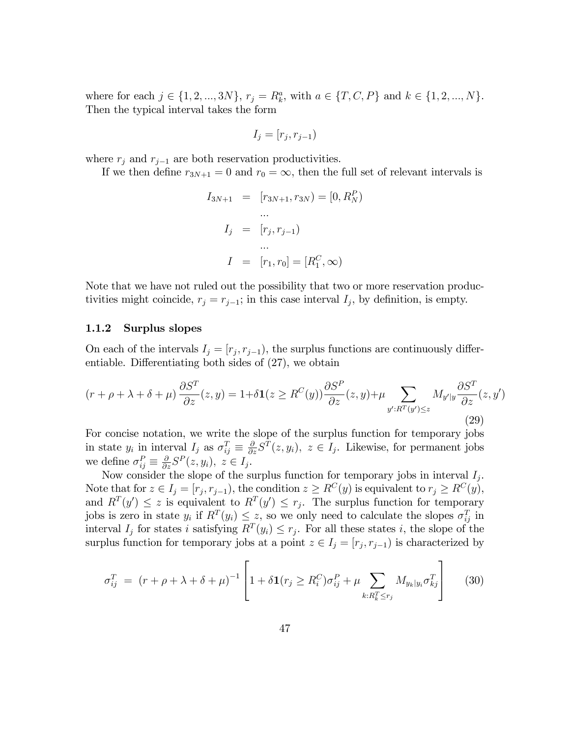where for each  $j \in \{1, 2, ..., 3N\}, r_j = R_k^a$ , with  $a \in \{T, C, P\}$  and  $k \in \{1, 2, ..., N\}.$ Then the typical interval takes the form

$$
I_j = [r_j, r_{j-1})
$$

where  $r_j$  and  $r_{j-1}$  are both reservation productivities.

If we then define  $r_{3N+1} = 0$  and  $r_0 = \infty$ , then the full set of relevant intervals is

$$
I_{3N+1} = [r_{3N+1}, r_{3N}) = [0, R_N^P)
$$
  
...  

$$
I_j = [r_j, r_{j-1})
$$
  
...  

$$
I = [r_1, r_0] = [R_1^C, \infty)
$$

Note that we have not ruled out the possibility that two or more reservation productivities might coincide,  $r_j = r_{j-1}$ ; in this case interval  $I_j$ , by definition, is empty.

#### 1.1.2 Surplus slopes

On each of the intervals  $I_j = [r_j, r_{j-1})$ , the surplus functions are continuously differentiable. Differentiating both sides of  $(27)$ , we obtain

$$
(r + \rho + \lambda + \delta + \mu) \frac{\partial S^T}{\partial z}(z, y) = 1 + \delta \mathbf{1}(z \ge R^C(y)) \frac{\partial S^P}{\partial z}(z, y) + \mu \sum_{y': R^T(y') \le z} M_{y'|y} \frac{\partial S^T}{\partial z}(z, y')
$$
\n(29)

For concise notation, we write the slope of the surplus function for temporary jobs in state  $y_i$  in interval  $I_j$  as  $\sigma_{ij}^T \equiv \frac{\partial}{\partial z} S^T(z, y_i)$ ,  $z \in I_j$ . Likewise, for permanent jobs we define  $\sigma_{ij}^P \equiv \frac{\partial}{\partial z} S^P(z, y_i), z \in I_j$ .

Now consider the slope of the surplus function for temporary jobs in interval  $I_j$ . Note that for  $z \in I_j = [r_j, r_{j-1})$ , the condition  $z \geq R^C(y)$  is equivalent to  $r_j \geq R^C(y)$ , and  $R^{T}(y') \leq z$  is equivalent to  $R^{T}(y') \leq r_j$ . The surplus function for temporary jobs is zero in state  $y_i$  if  $R^T(y_i) \leq z$ , so we only need to calculate the slopes  $\sigma_{ij}^T$  in interval  $I_j$  for states i satisfying  $R^T(y_i) \leq r_j$ . For all these states i, the slope of the surplus function for temporary jobs at a point  $z \in I_j = [r_j, r_{j-1})$  is characterized by

$$
\sigma_{ij}^T = (r + \rho + \lambda + \delta + \mu)^{-1} \left[ 1 + \delta \mathbf{1}(r_j \ge R_i^C) \sigma_{ij}^P + \mu \sum_{k: R_k^T \le r_j} M_{y_k | y_i} \sigma_{kj}^T \right] \tag{30}
$$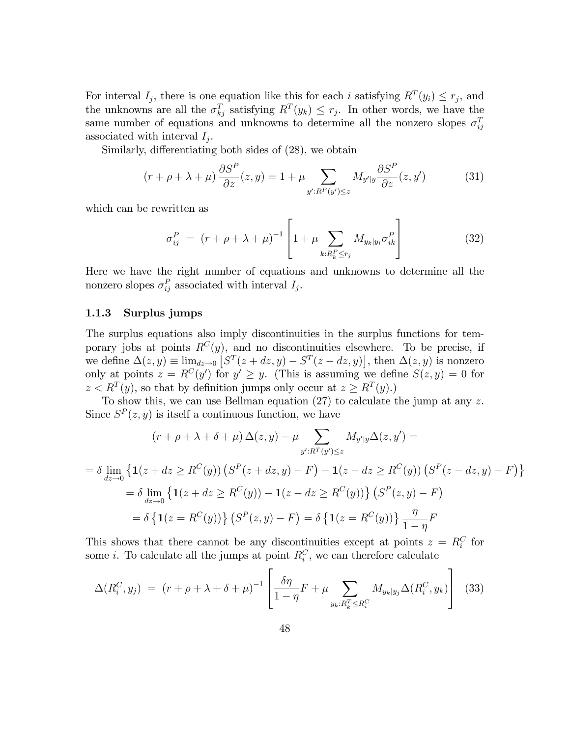For interval  $I_j$ , there is one equation like this for each i satisfying  $R^T(y_i) \leq r_j$ , and the unknowns are all the  $\sigma_{kj}^T$  satisfying  $R^T(y_k) \leq r_j$ . In other words, we have the same number of equations and unknowns to determine all the nonzero slopes  $\sigma_{ij}^T$ associated with interval  $I_j$ .

Similarly, differentiating both sides of  $(28)$ , we obtain

$$
(r + \rho + \lambda + \mu) \frac{\partial S^P}{\partial z}(z, y) = 1 + \mu \sum_{y':R^P(y') \le z} M_{y'|y} \frac{\partial S^P}{\partial z}(z, y')
$$
(31)

which can be rewritten as

$$
\sigma_{ij}^P = (r + \rho + \lambda + \mu)^{-1} \left[ 1 + \mu \sum_{k: R_k^P \le r_j} M_{y_k|y_i} \sigma_{ik}^P \right]
$$
(32)

Here we have the right number of equations and unknowns to determine all the nonzero slopes  $\sigma_{ij}^P$  associated with interval  $I_j$ .

#### 1.1.3 Surplus jumps

The surplus equations also imply discontinuities in the surplus functions for temporary jobs at points  $R^{C}(y)$ , and no discontinuities elsewhere. To be precise, if we define  $\Delta(z, y) \equiv \lim_{z \to 0} [S^T(z + dz, y) - S^T(z - dz, y)],$  then  $\Delta(z, y)$  is nonzero only at points  $z = R^{C}(y')$  for  $y' \ge y$ . (This is assuming we define  $S(z, y) = 0$  for  $z < R^T(y)$ , so that by definition jumps only occur at  $z \geq R^T(y)$ .)

To show this, we can use Bellman equation (27) to calculate the jump at any z. Since  $S<sup>P</sup>(z, y)$  is itself a continuous function, we have

$$
(r + \rho + \lambda + \delta + \mu) \Delta(z, y) - \mu \sum_{y': R^T(y') \le z} M_{y'|y} \Delta(z, y') =
$$
  
=  $\delta \lim_{dz \to 0} \{ \mathbf{1}(z + dz \ge R^C(y)) (S^P(z + dz, y) - F) - \mathbf{1}(z - dz \ge R^C(y)) (S^P(z - dz, y) - F) \}$   
=  $\delta \lim_{dz \to 0} \{ \mathbf{1}(z + dz \ge R^C(y)) - \mathbf{1}(z - dz \ge R^C(y)) \} (S^P(z, y) - F)$   
=  $\delta \{ \mathbf{1}(z = R^C(y)) \} (S^P(z, y) - F) = \delta \{ \mathbf{1}(z = R^C(y)) \} \frac{\eta}{1 - \eta} F$ 

This shows that there cannot be any discontinuities except at points  $z = R_i^C$  for some *i*. To calculate all the jumps at point  $R_i^C$ , we can therefore calculate

$$
\Delta(R_i^C, y_j) = (r + \rho + \lambda + \delta + \mu)^{-1} \left[ \frac{\delta \eta}{1 - \eta} F + \mu \sum_{y_k : R_k^T \le R_i^C} M_{y_k | y_j} \Delta(R_i^C, y_k) \right]
$$
(33)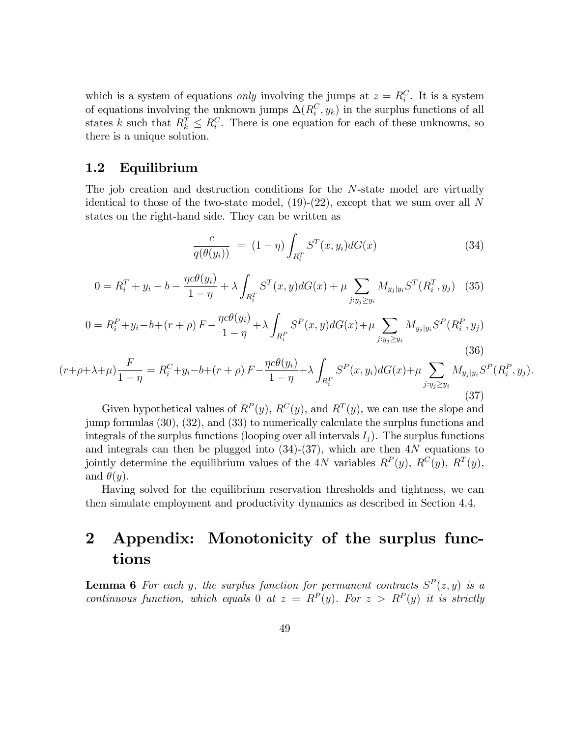which is a system of equations *only* involving the jumps at  $z = R_i^C$ . It is a system of equations involving the unknown jumps  $\Delta(R_i^C, y_k)$  in the surplus functions of all states k such that  $R_k^T \leq R_i^C$ . There is one equation for each of these unknowns, so there is a unique solution.

# 1.2 Equilibrium

The job creation and destruction conditions for the N-state model are virtually identical to those of the two-state model,  $(19)-(22)$ , except that we sum over all N states on the right-hand side. They can be written as

$$
\frac{c}{q(\theta(y_i))} = (1 - \eta) \int_{R_i^T} S^T(x, y_i) dG(x) \tag{34}
$$

$$
0 = R_i^T + y_i - b - \frac{\eta c \theta(y_i)}{1 - \eta} + \lambda \int_{R_i^T} S^T(x, y) dG(x) + \mu \sum_{j:y_j \ge y_i} M_{y_j|y_i} S^T(R_i^T, y_j)
$$
 (35)

$$
0 = R_i^P + y_i - b + (r + \rho) F - \frac{\eta c \theta(y_i)}{1 - \eta} + \lambda \int_{R_i^P} S^P(x, y) dG(x) + \mu \sum_{j:y_j \ge y_i} M_{y_j|y_i} S^P(R_i^P, y_j)
$$
\n(36)

$$
(r+\rho+\lambda+\mu)\frac{F}{1-\eta} = R_i^C + y_i - b + (r+\rho)F - \frac{\eta c\theta(y_i)}{1-\eta} + \lambda \int_{R_i^P} S^P(x, y_i) dG(x) + \mu \sum_{j:y_j \ge y_i} M_{y_j|y_i} S^P(R_i^P, y_j).
$$
\n(37)

Given hypothetical values of  $R^P(y)$ ,  $R^C(y)$ , and  $R^T(y)$ , we can use the slope and jump formulas (30), (32), and (33) to numerically calculate the surplus functions and integrals of the surplus functions (looping over all intervals  $I_i$ ). The surplus functions and integrals can then be plugged into  $(34)-(37)$ , which are then  $4N$  equations to jointly determine the equilibrium values of the 4N variables  $R^P(y)$ ,  $R^C(y)$ ,  $R^T(y)$ , and  $\theta(y)$ .

Having solved for the equilibrium reservation thresholds and tightness, we can then simulate employment and productivity dynamics as described in Section 4.4.

# 2 Appendix: Monotonicity of the surplus functions

**Lemma 6** For each y, the surplus function for permanent contracts  $S<sup>P</sup>(z, y)$  is a continuous function, which equals 0 at  $z = R^P(y)$ . For  $z > R^P(y)$  it is strictly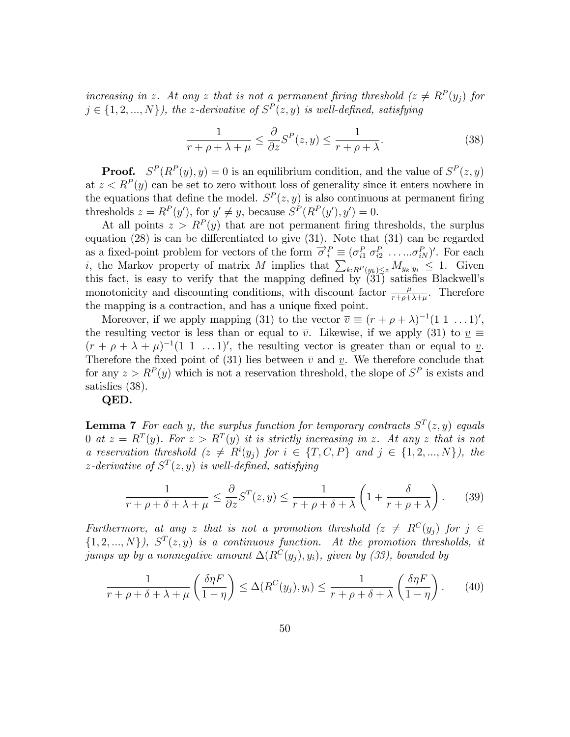increasing in z. At any z that is not a permanent firing threshold  $(z \neq R^P(y_j))$  for  $j \in \{1, 2, ..., N\}$ , the z-derivative of  $S<sup>P</sup>(z, y)$  is well-defined, satisfying

$$
\frac{1}{r+\rho+\lambda+\mu} \le \frac{\partial}{\partial z} S^P(z,y) \le \frac{1}{r+\rho+\lambda}.\tag{38}
$$

**Proof.**  $S^P(R^P(y), y) = 0$  is an equilibrium condition, and the value of  $S^P(z, y)$ at  $z < R^{P}(y)$  can be set to zero without loss of generality since it enters nowhere in the equations that define the model.  $S<sup>P</sup>(z, y)$  is also continuous at permanent firing thresholds  $z = R^P(y')$ , for  $y' \neq y$ , because  $S^P(R^P(y'), y') = 0$ .

At all points  $z > R<sup>P</sup>(y)$  that are not permanent firing thresholds, the surplus equation  $(28)$  is can be differentiated to give  $(31)$ . Note that  $(31)$  can be regarded as a fixed-point problem for vectors of the form  $\vec{\sigma}_i^P \equiv (\sigma_{i1}^P \sigma_{i2}^P \ldots \ldots \sigma_{iN}^P)'$ . For each i, the Markov property of matrix M implies that  $\sum_{k:R^P(y_k)\leq z} M_{y_k|y_i} \leq 1$ . Given this fact, is easy to verify that the mapping defined by  $\overline{\binom{31}{31}}$  satisfies Blackwell's monotonicity and discounting conditions, with discount factor  $\frac{\mu}{r+\rho+\lambda+\mu}$ . Therefore the mapping is a contraction, and has a unique fixed point.

Moreover, if we apply mapping (31) to the vector  $\overline{v} \equiv (r + \rho + \lambda)^{-1}(1 \, 1 \, \ldots 1)$ ', the resulting vector is less than or equal to  $\overline{v}$ . Likewise, if we apply (31) to  $v \equiv$  $(r + \rho + \lambda + \mu)^{-1}(1 \ 1 \ \ldots 1)$ , the resulting vector is greater than or equal to v. Therefore the fixed point of (31) lies between  $\overline{v}$  and v. We therefore conclude that for any  $z > R<sup>P</sup>(y)$  which is not a reservation threshold, the slope of  $S<sup>P</sup>$  is exists and satisfies (38).

QED.

**Lemma 7** For each y, the surplus function for temporary contracts  $S<sup>T</sup>(z, y)$  equals 0 at  $z = R^T(y)$ . For  $z > R^T(y)$  it is strictly increasing in z. At any z that is not a reservation threshold  $(z \neq R^{i}(y_j)$  for  $i \in \{T, C, P\}$  and  $j \in \{1, 2, ..., N\}$ , the z-derivative of  $S<sup>T</sup>(z, y)$  is well-defined, satisfying

$$
\frac{1}{r+\rho+\delta+\lambda+\mu} \le \frac{\partial}{\partial z} S^{T}(z,y) \le \frac{1}{r+\rho+\delta+\lambda} \left(1+\frac{\delta}{r+\rho+\lambda}\right). \tag{39}
$$

Furthermore, at any z that is not a promotion threshold  $(z \neq R^{C}(y_i)$  for  $j \in$  $\{1, 2, ..., N\}$ ,  $S<sup>T</sup>(z, y)$  is a continuous function. At the promotion thresholds, it jumps up by a nonnegative amount  $\Delta(R^C(y_i), y_i)$ , given by (33), bounded by

$$
\frac{1}{r+\rho+\delta+\lambda+\mu}\left(\frac{\delta\eta F}{1-\eta}\right) \leq \Delta(R^C(y_j), y_i) \leq \frac{1}{r+\rho+\delta+\lambda}\left(\frac{\delta\eta F}{1-\eta}\right). \tag{40}
$$